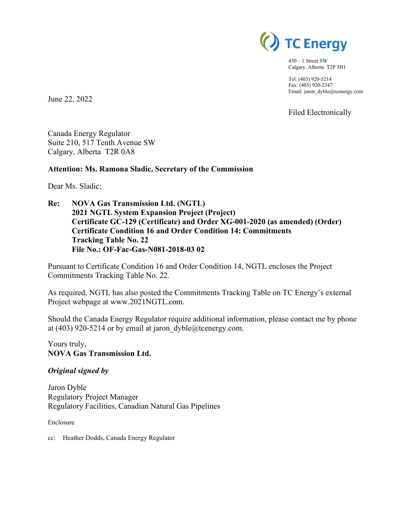

450 – 1 Street SW Calgary, Alberta T2P 5H1

Tel: (403) 920-5214 Fax: (403) 920-2347 Email: jaron\_dyble@tcenergy.com

Filed Electronically

Canada Energy Regulator Suite 210, 517 Tenth Avenue SW

Calgary, Alberta T2R 0A8

# **Attention: Ms. Ramona Sladic, Secretary of the Commission**

Dear Ms. Sladic:

June 22, 2022

**Re: NOVA Gas Transmission Ltd. (NGTL) 2021 NGTL System Expansion Project (Project) Certificate GC-129 (Certificate) and Order XG-001-2020 (as amended) (Order) Certificate Condition 16 and Order Condition 14: Commitments Tracking Table No. 22 File No.: OF-Fac-Gas-N081-2018-03 02**

Pursuant to Certificate Condition 16 and Order Condition 14, NGTL encloses the Project Commitments Tracking Table No. 22.

As required, NGTL has also posted the Commitments Tracking Table on TC Energy's external Project webpage at www.2021NGTL.com.

Should the Canada Energy Regulator require additional information, please contact me by phone at (403) 920-5214 or by email at jaron  $dyble@tcenergy.com$ .

Yours truly, **NOVA Gas Transmission Ltd.**

#### *Original signed by*

Jaron Dyble Regulatory Project Manager Regulatory Facilities, Canadian Natural Gas Pipelines

Enclosure

cc: Heather Dodds, Canada Energy Regulator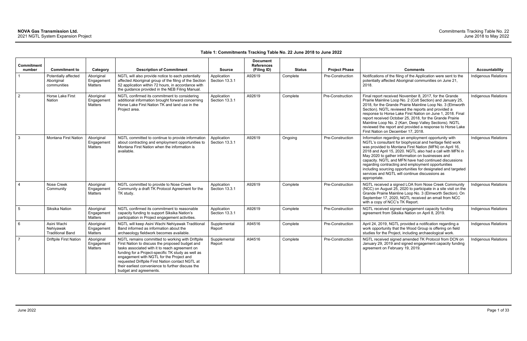### **Table 1: Commitments Tracking Table No. 22 June 2018 to June 2022**

| <b>Commitment</b><br>number | <b>Commitment to</b>                                | Category                                   | <b>Description of Commitment</b>                                                                                                                                                                                                                                                                                                                                                           | <b>Source</b>                 | <b>Document</b><br><b>References</b><br>(Filing ID) | <b>Status</b> | <b>Project Phase</b> | <b>Comments</b>                                                                                                                                                                                                                                                                                                                                                                                                                                                                                                                                | <b>Accountability</b>       |
|-----------------------------|-----------------------------------------------------|--------------------------------------------|--------------------------------------------------------------------------------------------------------------------------------------------------------------------------------------------------------------------------------------------------------------------------------------------------------------------------------------------------------------------------------------------|-------------------------------|-----------------------------------------------------|---------------|----------------------|------------------------------------------------------------------------------------------------------------------------------------------------------------------------------------------------------------------------------------------------------------------------------------------------------------------------------------------------------------------------------------------------------------------------------------------------------------------------------------------------------------------------------------------------|-----------------------------|
|                             | Potentially affected<br>Aboriginal<br>communities   | Aboriginal<br>Engagement<br>Matters        | NGTL will also provide notice to each potentially<br>affected Aboriginal group of the filing of the Section<br>52 application within 72 hours, in accordance with<br>the guidance provided in the NEB Filing Manual.                                                                                                                                                                       | Application<br>Section 13.3.1 | A92619                                              | Complete      | Pre-Construction     | Notifications of the filing of the Application were sent to the<br>potentially affected Aboriginal communities on June 21,<br>2018.                                                                                                                                                                                                                                                                                                                                                                                                            | Indigenous Relations        |
| $\overline{2}$              | Horse Lake First<br>Nation                          | Aboriginal<br>Engagement<br>Matters        | NGTL confirmed its commitment to considering<br>additional information brought forward concerning<br>Horse Lake First Nation TK and land use in the<br>Project area.                                                                                                                                                                                                                       | Application<br>Section 13.3.1 | A92619                                              | Complete      | Pre-Construction     | Final report received November 8, 2017, for the Grande<br>Prairie Mainline Loop No. 2 (Colt Section) and January 25,<br>2018, for the Grande Prairie Mainline Loop No. 3 (Elmworth<br>Section). NGTL reviewed the reports and provided a<br>response to Horse Lake First Nation on June 1, 2018. Final<br>report received October 25, 2018, for the Grande Prairie<br>Mainline Loop No. 2 (Karr, Deep Valley Sections). NGTL<br>reviewed the report and provided a response to Horse Lake<br>First Nation on December 17, 2018.                | Indigenous Relations        |
| $\mathbf{3}$                | <b>Montana First Nation</b>                         | Aboriginal<br>Engagement<br><b>Matters</b> | NGTL committed to continue to provide information<br>about contracting and employment opportunities to<br>Montana First Nation when the information is<br>available.                                                                                                                                                                                                                       | Application<br>Section 13.3.1 | A92619                                              | Ongoing       | Pre-Construction     | Information regarding an employment opportunity with<br>NGTL's consultant for biophysical and heritage field work<br>was provided to Montana First Nation (MFN) on April 16,<br>2018 and April 15, 2020. NGTL also had a call with MFN in<br>May 2020 to gather information on businesses and<br>capacity. NGTL and MFN have had continued discussions<br>regarding contracting and employment opportunities<br>including sourcing opportunities for designated and targeted<br>services and NGTL will continue discussions as<br>appropriate. | <b>Indigenous Relations</b> |
| $\boldsymbol{\Lambda}$      | Nose Creek<br>Community                             | Aboriginal<br>Engagement<br>Matters        | NGTL committed to provide to Nose Creek<br>Community a draft TK Protocol Agreement for the<br>TK study.                                                                                                                                                                                                                                                                                    | Application<br>Section 13.3.1 | A92619                                              | Complete      | Pre-Construction     | NGTL received a signed LOA from Nose Creek Community<br>(NCC) on August 25, 2020 to participate in a site visit on the<br>Grande Prairie Mainline Loop No. 3 (Elmworth Section). On<br>September 17, 2020, NGTL received an email from NCC<br>with a copy of NCC's TK Report.                                                                                                                                                                                                                                                                  | Indigenous Relations        |
| $5\phantom{.0}$             | Siksika Nation                                      | Aboriginal<br>Engagement<br>Matters        | NGTL confirmed its commitment to reasonable<br>capacity funding to support Siksika Nation's<br>participation in Project engagement activities.                                                                                                                                                                                                                                             | Application<br>Section 13.3.1 | A92619                                              | Complete      | Pre-Construction     | NGTL received signed engagement capacity funding<br>agreement from Siksika Nation on April 8, 2019.                                                                                                                                                                                                                                                                                                                                                                                                                                            | Indigenous Relations        |
| 6                           | Asini Wachi<br>Nehivawak<br><b>Traditional Band</b> | Aboriginal<br>Engagement<br>Matters        | NGTL will keep Asini Wachi Nehiyawak Traditional<br>Band informed as information about the<br>archaeology fieldwork becomes available.                                                                                                                                                                                                                                                     | Supplemental<br>Report        | A94516                                              | Complete      | Pre-Construction     | April 24, 2019, NGTL provided a notification regarding a<br>work opportunity that the Wood Group is offering on field<br>studies for the Project, including archaeological work.                                                                                                                                                                                                                                                                                                                                                               | Indigenous Relations        |
| $\overline{7}$              | <b>Driftpile First Nation</b>                       | Aboriginal<br>Engagement<br>Matters        | NGTL remains committed to working with Driftpile<br>First Nation to discuss the proposed budget and<br>tasks associated with it to reach agreement on<br>funding for a Project-specific TK study as well as<br>engagement with NGTL for the Project and<br>requested Driftpile First Nation contact NGTL at<br>their earliest convenience to further discuss the<br>budget and agreements. | Supplemental<br>Report        | A94516                                              | Complete      | Pre-Construction     | NGTL received signed amended TK Protocol from DCN on<br>January 29, 2019 and signed engagement capacity funding<br>agreement on February 19, 2019.                                                                                                                                                                                                                                                                                                                                                                                             | Indigenous Relations        |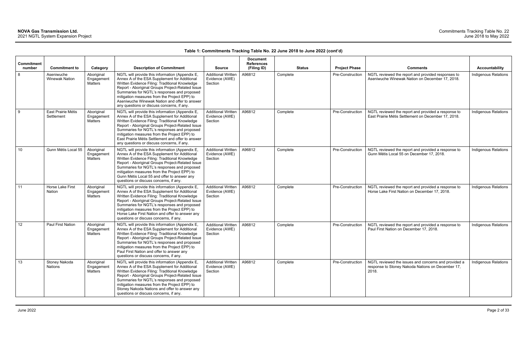| <b>Commitment</b><br>number | <b>Commitment to</b>                | Category                                   | <b>Description of Commitment</b>                                                                                                                                                                                                                                                                                                                                                                        | <b>Source</b>                                          | <b>Document</b><br><b>References</b><br>(Filing ID) | <b>Status</b> | <b>Project Phase</b> | <b>Comments</b>                                                                                                    | <b>Accountability</b>       |
|-----------------------------|-------------------------------------|--------------------------------------------|---------------------------------------------------------------------------------------------------------------------------------------------------------------------------------------------------------------------------------------------------------------------------------------------------------------------------------------------------------------------------------------------------------|--------------------------------------------------------|-----------------------------------------------------|---------------|----------------------|--------------------------------------------------------------------------------------------------------------------|-----------------------------|
| 8                           | Aseniwuche<br><b>Winewak Nation</b> | Aboriginal<br>Engagement<br><b>Matters</b> | NGTL will provide this information (Appendix E,<br>Annex A of the ESA Supplement for Additional<br>Written Evidence Filing: Traditional Knowledge<br>Report - Aboriginal Groups Project-Related Issue<br>Summaries for NGTL's responses and proposed<br>mitigation measures from the Project EPP) to<br>Aseniwuche Winewak Nation and offer to answer<br>any questions or discuss concerns, if any.     | <b>Additional Written</b><br>Evidence (AWE)<br>Section | A96812                                              | Complete      | Pre-Construction     | NGTL reviewed the report and provided responses to<br>Aseniwuche Winewak Nation on December 17, 2018.              | Indigenous Relations        |
| 9                           | East Prairie Métis<br>Settlement    | Aboriginal<br>Engagement<br>Matters        | NGTL will provide this information (Appendix E)<br>Annex A of the ESA Supplement for Additional<br>Written Evidence Filing: Traditional Knowledge<br>Report - Aboriginal Groups Project-Related Issue<br>Summaries for NGTL's responses and proposed<br>mitigation measures from the Project EPP) to<br>East Prairie Métis Settlement and offer to answer<br>any questions or discuss concerns, if any. | <b>Additional Written</b><br>Evidence (AWE)<br>Section | A96812                                              | Complete      | Pre-Construction     | NGTL reviewed the report and provided a response to<br>East Prairie Métis Settlement on December 17, 2018.         | <b>Indigenous Relations</b> |
| 10                          | Gunn Métis Local 55                 | Aboriginal<br>Engagement<br>Matters        | NGTL will provide this information (Appendix E)<br>Annex A of the ESA Supplement for Additional<br>Written Evidence Filing: Traditional Knowledge<br>Report - Aboriginal Groups Project-Related Issue<br>Summaries for NGTL's responses and proposed<br>mitigation measures from the Project EPP) to<br>Gunn Métis Local 55 and offer to answer any<br>questions or discuss concerns, if any.           | <b>Additional Written</b><br>Evidence (AWE)<br>Section | A96812                                              | Complete      | Pre-Construction     | NGTL reviewed the report and provided a response to<br>Gunn Métis Local 55 on December 17, 2018.                   | Indigenous Relations        |
| 11                          | Horse Lake First<br>Nation          | Aboriginal<br>Engagemen<br><b>Matters</b>  | NGTL will provide this information (Appendix E,<br>Annex A of the ESA Supplement for Additional<br>Written Evidence Filing: Traditional Knowledge<br>Report - Aboriginal Groups Project-Related Issue<br>Summaries for NGTL's responses and proposed<br>mitigation measures from the Project EPP) to<br>Horse Lake First Nation and offer to answer any<br>questions or discuss concerns, if any.       | <b>Additional Written</b><br>Evidence (AWE)<br>Section | A96812                                              | Complete      | Pre-Construction     | NGTL reviewed the report and provided a response to<br>Horse Lake First Nation on December 17, 2018.               | Indigenous Relations        |
| 12                          | Paul First Nation                   | Aboriginal<br>Engagemen<br>Matters         | NGTL will provide this information (Appendix E,<br>Annex A of the ESA Supplement for Additional<br>Written Evidence Filing: Traditional Knowledge<br>Report - Aboriginal Groups Project-Related Issue<br>Summaries for NGTL's responses and proposed<br>mitigation measures from the Project EPP) to<br>Paul First Nation and offer to answer any<br>questions or discuss concerns, if any.             | <b>Additional Written</b><br>Evidence (AWE)<br>Section | A96812                                              | Complete      | Pre-Construction     | NGTL reviewed the report and provided a response to<br>Paul First Nation on December 17, 2018.                     | Indigenous Relations        |
| 13                          | Stoney Nakoda<br>Nations            | Aboriginal<br>Engagement<br>Matters        | NGTL will provide this information (Appendix E,<br>Annex A of the ESA Supplement for Additional<br>Written Evidence Filing: Traditional Knowledge<br>Report - Aboriginal Groups Project-Related Issue<br>Summaries for NGTL's responses and proposed<br>mitigation measures from the Project EPP) to<br>Stoney Nakoda Nations and offer to answer any<br>questions or discuss concerns, if any.         | <b>Additional Written</b><br>Evidence (AWE)<br>Section | A96812                                              | Complete      | Pre-Construction     | NGTL reviewed the issues and concerns and provided a<br>response to Stoney Nakoda Nations on December 17,<br>2018. | Indigenous Relations        |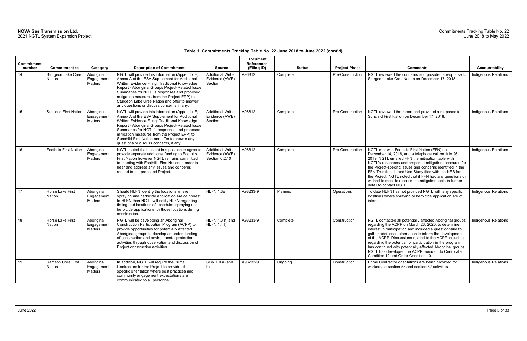| <b>Commitment</b><br>number | <b>Commitment to</b>          | Category                            | <b>Description of Commitment</b>                                                                                                                                                                                                                                                                                                                                                                    | <b>Source</b>                                                 | <b>Document</b><br><b>References</b><br>(Filing ID) | <b>Status</b> | <b>Project Phase</b> | <b>Comments</b>                                                                                                                                                                                                                                                                                                                                                                                                                                                                                                            | <b>Accountability</b>       |
|-----------------------------|-------------------------------|-------------------------------------|-----------------------------------------------------------------------------------------------------------------------------------------------------------------------------------------------------------------------------------------------------------------------------------------------------------------------------------------------------------------------------------------------------|---------------------------------------------------------------|-----------------------------------------------------|---------------|----------------------|----------------------------------------------------------------------------------------------------------------------------------------------------------------------------------------------------------------------------------------------------------------------------------------------------------------------------------------------------------------------------------------------------------------------------------------------------------------------------------------------------------------------------|-----------------------------|
| 14                          | Sturgeon Lake Cree<br>Nation  | Aboriginal<br>Engagement<br>Matters | NGTL will provide this information (Appendix E,<br>Annex A of the ESA Supplement for Additional<br>Written Evidence Filing: Traditional Knowledge<br>Report - Aboriginal Groups Project-Related Issue<br>Summaries for NGTL's responses and proposed<br>mitigation measures from the Project EPP) to<br>Sturgeon Lake Cree Nation and offer to answer<br>any questions or discuss concerns, if any. | <b>Additional Written</b><br>Evidence (AWE)<br>Section        | A96812                                              | Complete      | Pre-Construction     | NGTL reviewed the concerns and provided a response to<br>Sturgeon Lake Cree Nation on December 17, 2018.                                                                                                                                                                                                                                                                                                                                                                                                                   | Indigenous Relations        |
| 15                          | <b>Sunchild First Nation</b>  | Aboriginal<br>Engagemen<br>Matters  | NGTL will provide this information (Appendix E,<br>Annex A of the ESA Supplement for Additional<br>Written Evidence Filing: Traditional Knowledge<br>Report - Aboriginal Groups Project-Related Issue<br>Summaries for NGTL's responses and proposed<br>mitigation measures from the Project EPP) to<br>Sunchild First Nation and offer to answer any<br>questions or discuss concerns, if any.     | <b>Additional Written</b><br>Evidence (AWE)<br>Section        | A96812                                              | Complete      | Pre-Construction     | NGTL reviewed the report and provided a response to<br>Sunchild First Nation on December 17, 2018.                                                                                                                                                                                                                                                                                                                                                                                                                         | <b>Indigenous Relations</b> |
| 16                          | <b>Foothills First Nation</b> | Aboriginal<br>Engagemen<br>Matters  | NGTL stated that it is not in a position to agree to<br>provide separate additional funding to Foothills<br>First Nation however NGTL remains committed<br>to meeting with Foothills First Nation in order to<br>hear and address any issues and concerns<br>related to the proposed Project.                                                                                                       | <b>Additional Written</b><br>Evidence (AWE)<br>Section 6.2.10 | A96812                                              | Complete      | Pre-Construction     | NGTL met with Foothills First Nation (FFN) on<br>December 14, 2018, and a telephone call on July 26,<br>2019. NGTL emailed FFN the mitigation table with<br>NGTL's responses and proposed mitigation measures for<br>the Project-specific issues and concerns identified in the<br>FFN Traditional Land Use Study filed with the NEB for<br>the Project. NGTL noted that if FFN had any questions or<br>wished to meet to discuss the mitigation table in further<br>detail to contact NGTL.                               | <b>Indigenous Relations</b> |
| 17                          | Horse Lake First<br>Nation    | Aboriginal<br>Engagemen<br>Matters  | Should HLFN identify the locations where<br>spraying and herbicide application are of interest<br>to HLFN then NGTL will notify HLFN regarding<br>timing and locations of scheduled spraying and<br>herbicide applications for those locations during<br>construction.                                                                                                                              | HLFN 1.3e                                                     | A98233-9                                            | Planned       | Operations           | To date HLFN has not provided NGTL with any specific<br>locations where spraying or herbicide application are of<br>interest.                                                                                                                                                                                                                                                                                                                                                                                              | Indigenous Relations        |
| 18                          | Horse Lake First<br>Nation    | Aboriginal<br>Engagemen<br>Matters  | NGTL will be developing an Aboriginal<br>Construction Participation Program (ACPP) to<br>provide opportunities for potentially affected<br>Aboriginal groups to develop an understanding<br>of construction and environmental protection<br>activities through observation and discussion of<br>Project construction activities.                                                                    | HLFN 1.3 h) and<br>$HLFN$ 1.4 f)                              | A98233-9                                            | Complete      | Construction         | NGTL contacted all potentially affected Aboriginal groups<br>regarding the ACPP on March 23, 2020, to determine<br>interest in participation and included a questionnaire to<br>gather additional information to inform the development<br>of the ACPP. Discussions related to the ACPP including<br>regarding the potential for participation in the program<br>has continued with potentially affected Aboriginal groups.<br>NGTL has developed the ACPP pursuant to Certificate<br>Condition 12 and Order Condition 10. | Indigenous Relations        |
| 19                          | Samson Cree First<br>Nation   | Aboriginal<br>Engagement<br>Matters | In addition, NGTL will require the Prime<br>Contractors for the Project to provide site-<br>specific orientation where best practices and<br>community engagement expectations are<br>communicated to all personnel.                                                                                                                                                                                | SCN 1.0 a) and<br>b)                                          | A98233-9                                            | Ongoing       | Construction         | Prime Contractor orientations are being provided for<br>workers on section 58 and section 52 activities.                                                                                                                                                                                                                                                                                                                                                                                                                   | Indigenous Relations        |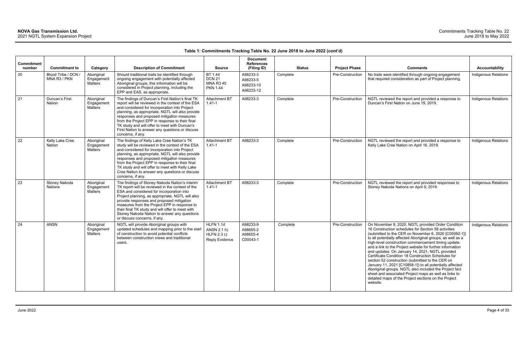| <b>Commitment</b><br>number | <b>Commitment to</b>                | Category                            | <b>Description of Commitment</b>                                                                                                                                                                                                                                                                                                                                                                                                     | <b>Source</b>                                                    | <b>Document</b><br><b>References</b><br>(Filing ID) | <b>Status</b> | <b>Project Phase</b> | <b>Comments</b>                                                                                                                                                                                                                                                                                                                                                                                                                                                                                                                                                                                                                                                                                                                                                       | <b>Accountability</b>       |
|-----------------------------|-------------------------------------|-------------------------------------|--------------------------------------------------------------------------------------------------------------------------------------------------------------------------------------------------------------------------------------------------------------------------------------------------------------------------------------------------------------------------------------------------------------------------------------|------------------------------------------------------------------|-----------------------------------------------------|---------------|----------------------|-----------------------------------------------------------------------------------------------------------------------------------------------------------------------------------------------------------------------------------------------------------------------------------------------------------------------------------------------------------------------------------------------------------------------------------------------------------------------------------------------------------------------------------------------------------------------------------------------------------------------------------------------------------------------------------------------------------------------------------------------------------------------|-----------------------------|
| 20                          | Blood Tribe / DCN /<br>MNA R3 / PKN | Aboriginal<br>Engagement<br>Matters | Should traditional trails be identified through<br>ongoing engagement with potentially affected<br>Aboriginal groups, this information will be<br>considered in Project planning, including the<br>EPP and EAS, as appropriate.                                                                                                                                                                                                      | BT 1.44<br><b>DCN 21</b><br><b>MNA R3 45</b><br><b>PKN 1.44</b>  | A98233-3<br>A98233-5<br>A98233-10<br>A98233-12      | Complete      | Pre-Construction     | No trails were identified through ongoing engagement<br>that required consideration as part of Project planning.                                                                                                                                                                                                                                                                                                                                                                                                                                                                                                                                                                                                                                                      | Indigenous Relations        |
| 21                          | Duncan's First<br>Nation            | Aboriginal<br>Engagement<br>Matters | The findings of Duncan's First Nation's final TK<br>report will be reviewed in the context of the ESA<br>and considered for incorporation into Project<br>planning, as appropriate. NGTL will also provide<br>responses and proposed mitigation measures<br>from the Project EPP in response to their final<br>TK study and will offer to meet with Duncan's<br>First Nation to answer any questions or discuss<br>concerns, if any. | <b>Attachment BT</b><br>$1.41 - 1$                               | A98233-3                                            | Complete      | Pre-Construction     | NGTL reviewed the report and provided a response to<br>Duncan's First Nation on June 19, 2019.                                                                                                                                                                                                                                                                                                                                                                                                                                                                                                                                                                                                                                                                        | <b>Indigenous Relations</b> |
| 22                          | Kelly Lake Cree<br>Nation           | Aboriginal<br>Engagement<br>Matters | The findings of Kelly Lake Cree Nation's TK<br>study will be reviewed in the context of the ESA<br>and considered for incorporation into Project<br>planning, as appropriate. NGTL will also provide<br>responses and proposed mitigation measures<br>from the Project EPP in response to their final<br>TK study and will offer to meet with Kelly Lake<br>Cree Nation to answer any questions or discuss<br>concerns, if any.      | Attachment BT<br>$1.41 - 1$                                      | A98233-3                                            | Complete      | Pre-Construction     | NGTL reviewed the report and provided a response to<br>Kelly Lake Cree Nation on April 16, 2019.                                                                                                                                                                                                                                                                                                                                                                                                                                                                                                                                                                                                                                                                      | <b>Indigenous Relations</b> |
| 23                          | Stoney Nakoda<br>Nations            | Aboriginal<br>Engagement<br>Matters | The findings of Stoney Nakoda Nation's interim<br>TK report will be reviewed in the context of the<br>ESA and considered for incorporation into<br>Project planning, as appropriate. NGTL will also<br>provide responses and proposed mitigation<br>measures from the Project EPP in response to<br>their final TK study and will offer to meet with<br>Stoney Nakoda Nation to answer any questions<br>or discuss concerns, if any. | <b>Attachment BT</b><br>$1.41 - 1$                               | A98233-3                                            | Complete      | Pre-Construction     | NGTL reviewed the report and provided responses to<br>Stoney Nakoda Nations on April 9, 2019.                                                                                                                                                                                                                                                                                                                                                                                                                                                                                                                                                                                                                                                                         | Indigenous Relations        |
| 24                          | <b>ANSN</b>                         | Aboriginal<br>Engagement<br>Matters | NGTL will provide Aboriginal groups with<br>updated schedules and mapping prior to the start<br>of construction to avoid potential conflicts<br>between construction crews and traditional<br>users.                                                                                                                                                                                                                                 | HLFN 1.1d<br>ANSN 2.1 h)<br>HLFN 2.3 c)<br><b>Reply Evidence</b> | A98233-9<br>A98655-2<br>A98655-4<br>C00043-1        | Complete      | Pre-Construction     | On November 9, 2020, NGTL provided Order Condition<br>16 Construction schedules for Section 58 activities<br>(submitted to the CER on November 6, 2020 [C09392-1])<br>to all potentially affected Aboriginal groups, as well as a<br>high-level construction commencement timing update<br>and a link to the Project website for further information<br>and updates. On January 14, 2021, NGTL provided<br>Certificate Condition 18 Construction Schedules for<br>section 52 construction (submitted to the CER on<br>January 11, 2021 [C10858-1]) to all potentially affected<br>Aboriginal groups. NGTL also included the Project fact<br>sheet and associated Project maps as well as links to<br>detailed maps of the Project sections on the Project<br>website. | <b>Indigenous Relations</b> |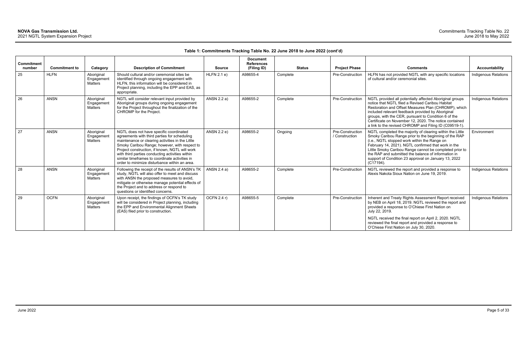| <b>Commitment</b> |                      |                                     |                                                                                                                                                                                                                                                                                                                                                                                                      |               | <b>Document</b><br><b>References</b> |               |                                    |                                                                                                                                                                                                                                                                                                                                                                                                                     |                             |
|-------------------|----------------------|-------------------------------------|------------------------------------------------------------------------------------------------------------------------------------------------------------------------------------------------------------------------------------------------------------------------------------------------------------------------------------------------------------------------------------------------------|---------------|--------------------------------------|---------------|------------------------------------|---------------------------------------------------------------------------------------------------------------------------------------------------------------------------------------------------------------------------------------------------------------------------------------------------------------------------------------------------------------------------------------------------------------------|-----------------------------|
| number            | <b>Commitment to</b> | Category                            | <b>Description of Commitment</b>                                                                                                                                                                                                                                                                                                                                                                     | <b>Source</b> | (Filing ID)                          | <b>Status</b> | <b>Project Phase</b>               | <b>Comments</b>                                                                                                                                                                                                                                                                                                                                                                                                     | <b>Accountability</b>       |
| 25                | <b>HLFN</b>          | Aboriginal<br>Engagemen<br>Matters  | Should cultural and/or ceremonial sites be<br>identified through ongoing engagement with<br>HLFN, this information will be considered in<br>Project planning, including the EPP and EAS, as<br>appropriate.                                                                                                                                                                                          | HLFN 2.1 e)   | A98655-4                             | Complete      | Pre-Construction                   | HLFN has not provided NGTL with any specific locations<br>of cultural and/or ceremonial sites.                                                                                                                                                                                                                                                                                                                      | Indigenous Relations        |
| 26                | <b>ANSN</b>          | Aboriginal<br>Engagement<br>Matters | NGTL will consider relevant input provided by<br>Aboriginal groups during ongoing engagement<br>for the Project throughout the finalization of the<br>CHROMP for the Project.                                                                                                                                                                                                                        | ANSN 2.2 a)   | A98655-2                             | Complete      | Pre-Construction                   | NGTL provided all potentially affected Aboriginal groups<br>notice that NGTL filed a Revised Caribou Habitat<br>Restoration and Offset Measures Plan (CHROMP), which<br>included relevant feedback provided by Aboriginal<br>groups, with the CER, pursuant to Condition 6 of the<br>Certificate on November 12, 2020. The notice contained<br>a link to the revised CHROMP and Filing ID (C09519-1).               | <b>Indigenous Relations</b> |
| 27                | <b>ANSN</b>          | Aboriginal<br>Engagement<br>Matters | NGTL does not have specific coordinated<br>agreements with third parties for scheduling<br>maintenance or clearing activities in the Little<br>Smoky Caribou Range; however, with respect to<br>Project construction, if known, NGTL will work<br>with third parties conducting activities within<br>similar timeframes to coordinate activities in<br>order to minimize disturbance within an area. | ANSN 2.2 e)   | A98655-2                             | Ongoing       | Pre-Construction<br>/ Construction | NGTL completed the majority of clearing within the Little<br>Smoky Caribou Range prior to the beginning of the RAP<br>(i.e., NGTL stopped work within the Range on<br>February 14, 2021). NGTL confirmed that work in the<br>Little Smoky Caribou Range cannot be completed prior to<br>the RAP and submitted the balance of information in<br>support of Condition 23 approval on January 13, 2022<br>$(C17194)$ . | Environment                 |
| 28                | <b>ANSN</b>          | Aboriginal<br>Engagement<br>Matters | Following the receipt of the results of ANSN's TK<br>study, NGTL will also offer to meet and discuss<br>with ANSN the proposed measures to avoid,<br>mitigate or otherwise manage potential effects of<br>the Project and to address or respond to<br>questions or identified concerns.                                                                                                              | ANSN 2.4 a)   | A98655-2                             | Complete      | Pre-Construction                   | NGTL reviewed the report and provided a response to<br>Alexis Nakota Sioux Nation on June 19, 2019.                                                                                                                                                                                                                                                                                                                 | <b>Indigenous Relations</b> |
| 29                | <b>OCFN</b>          | Aboriginal<br>Engagement<br>Matters | Upon receipt, the findings of OCFN's TK study<br>will be considered in Project planning, including<br>the EPP and Environmental Alignment Sheets<br>(EAS) filed prior to construction.                                                                                                                                                                                                               | OCFN 2.4 r)   | A98655-5                             | Complete      | Pre-Construction                   | Inherent and Treaty Rights Assessment Report received<br>by NEB on April 18, 2019. NGTL reviewed the report and<br>provided a response to O'Chiese First Nation on<br>July 22, 2019.<br>NGTL received the final report on April 2, 2020. NGTL                                                                                                                                                                       | <b>Indigenous Relations</b> |
|                   |                      |                                     |                                                                                                                                                                                                                                                                                                                                                                                                      |               |                                      |               |                                    | reviewed the final report and provided a response to<br>O'Chiese First Nation on July 30, 2020.                                                                                                                                                                                                                                                                                                                     |                             |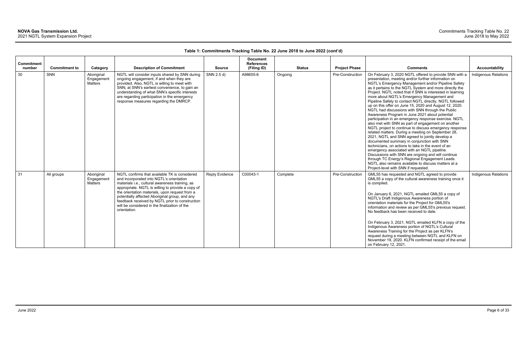| <b>Commitment</b><br>number | <b>Commitment to</b> | Category                            | <b>Description of Commitment</b>                                                                                                                                                                                                                                                                                                                                                                                          | <b>Source</b>         | <b>Document</b><br><b>References</b><br>(Filing ID) |          | <b>Status</b> | <b>Project Phase</b> | <b>Comments</b>                                                                                                                                                                                                                                                                                                                                                                                                                                                                                                                                                                                                                                                                                                                                                                                                                                                                                                                                                                                                                                                                                                                                                                                                 | <b>Accountability</b>       |
|-----------------------------|----------------------|-------------------------------------|---------------------------------------------------------------------------------------------------------------------------------------------------------------------------------------------------------------------------------------------------------------------------------------------------------------------------------------------------------------------------------------------------------------------------|-----------------------|-----------------------------------------------------|----------|---------------|----------------------|-----------------------------------------------------------------------------------------------------------------------------------------------------------------------------------------------------------------------------------------------------------------------------------------------------------------------------------------------------------------------------------------------------------------------------------------------------------------------------------------------------------------------------------------------------------------------------------------------------------------------------------------------------------------------------------------------------------------------------------------------------------------------------------------------------------------------------------------------------------------------------------------------------------------------------------------------------------------------------------------------------------------------------------------------------------------------------------------------------------------------------------------------------------------------------------------------------------------|-----------------------------|
| 30                          | <b>SNN</b>           | Aboriginal<br>Engagement<br>Matters | NGTL will consider inputs shared by SNN during<br>ongoing engagement, if and when they are<br>provided. Also, NGTL is willing to meet with<br>SNN, at SNN's earliest convenience, to gain an<br>understanding of what SNN's specific interests<br>are regarding participation in the emergency<br>response measures regarding the DMRCP.                                                                                  | SNN 2.5 d)            | A98655-6                                            | Ongoing  |               | Pre-Construction     | On February 3, 2020 NGTL offered to provide SNN with a<br>presentation, meeting and/or further information on<br>NGTL's Emergency Management and/or Pipeline Safety<br>as it pertains to the NGTL System and more directly the<br>Project. NGTL noted that if SNN is interested in learning<br>more about NGTL's Emergency Management and<br>Pipeline Safety to contact NGTL directly. NGTL followed<br>up on this offer on June 15, 2020 and August 12, 2020.<br>NGTL had discussions with SNN through the Public<br>Awareness Program in June 2021 about potential<br>participation in an emergency response exercise. NGTL<br>also met with SNN as part of engagement on another<br>NGTL project to continue to discuss emergency response<br>related matters. During a meeting on September 28,<br>2021, NGTL and SNN agreed to jointly develop a<br>documented summary in conjunction with SNN<br>technicians, on actions to take in the event of an<br>emergency associated with an NGTL pipeline.<br>Discussions with SNN are ongoing and will continue<br>through TC Energy's Regional Engagement Leads.<br>NGTL also remains available to discuss matters at a<br>Project-level with SNN if requested. | Indigenous Relations        |
| 31                          | All groups           | Aboriginal<br>Engagement<br>Matters | NGTL confirms that available TK is considered<br>and incorporated into NGTL's orientation<br>materials i.e., cultural awareness training, as<br>appropriate. NGTL is willing to provide a copy of<br>the orientation materials, upon request from a<br>potentially affected Aboriginal group, and any<br>feedback received by NGTL prior to construction<br>will be considered in the finalization of the<br>orientation. | <b>Reply Evidence</b> | C00043-1                                            | Complete |               | Pre-Construction     | GML55 has requested and NGTL agreed to provide<br>GML55 a copy of the cultural awareness training once it<br>is compiled.<br>On January 6, 2021, NGTL emailed GML55 a copy of<br>NGTL's Draft Indigenous Awareness portion of<br>orientation materials for the Project for GML55's<br>information and review as per GML55's previous request.<br>No feedback has been received to date.<br>On February 3, 2021, NGTL emailed KLFN a copy of the<br>Indigenous Awareness portion of NGTL's Cultural<br>Awareness Training for the Project as per KLFN's<br>request during a meeting between NGTL and KLFN on<br>November 19, 2020. KLFN confirmed receipt of the email<br>on February 12, 2021.                                                                                                                                                                                                                                                                                                                                                                                                                                                                                                                  | <b>Indigenous Relations</b> |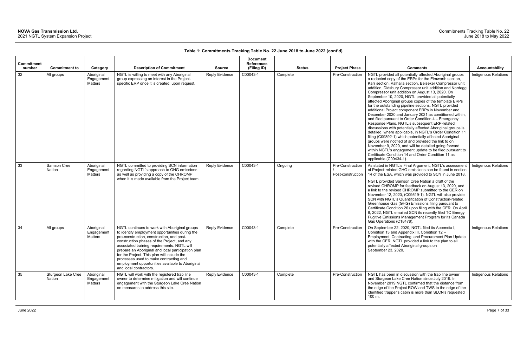| <b>Commitment</b><br>number | <b>Commitment to</b>         | Category                            | <b>Description of Commitment</b>                                                                                                                                                                                                                                                                                                                                                                                                                                         | <b>Source</b>  | <b>Document</b><br><b>References</b><br>(Filing ID) | <b>Status</b> | <b>Project Phase</b>                  | <b>Comments</b>                                                                                                                                                                                                                                                                                                                                                                                                                                                                                                                                                                                                                                                                                                                                                                                                                                                                                                                                                                                                                                                                                                                         | <b>Accountability</b> |
|-----------------------------|------------------------------|-------------------------------------|--------------------------------------------------------------------------------------------------------------------------------------------------------------------------------------------------------------------------------------------------------------------------------------------------------------------------------------------------------------------------------------------------------------------------------------------------------------------------|----------------|-----------------------------------------------------|---------------|---------------------------------------|-----------------------------------------------------------------------------------------------------------------------------------------------------------------------------------------------------------------------------------------------------------------------------------------------------------------------------------------------------------------------------------------------------------------------------------------------------------------------------------------------------------------------------------------------------------------------------------------------------------------------------------------------------------------------------------------------------------------------------------------------------------------------------------------------------------------------------------------------------------------------------------------------------------------------------------------------------------------------------------------------------------------------------------------------------------------------------------------------------------------------------------------|-----------------------|
| 32                          | All groups                   | Aboriginal<br>Engagement<br>Matters | NGTL is willing to meet with any Aboriginal<br>group expressing an interest in the Project-<br>specific ERP once it is created, upon request.                                                                                                                                                                                                                                                                                                                            | Reply Evidence | C00043-1                                            | Complete      | Pre-Construction                      | NGTL provided all potentially affected Aboriginal groups<br>a redacted copy of the ERPs for the Elmworth section,<br>Karr section, Valhalla section, Beiseker Compressor unit<br>addition, Didsbury Compressor unit addition and Nordegg<br>Compressor unit addition on August 13, 2020. On<br>September 10, 2020, NGTL provided all potentially<br>affected Aboriginal groups copies of the template ERPs<br>for the outstanding pipeline sections. NGTL provided<br>additional Project component ERPs in November and<br>December 2020 and January 2021 as conditioned within,<br>and filed pursuant to Order Condition 4 - Emergency<br>Response Plans. NGTL's subsequent ERP-related<br>discussions with potentially affected Aboriginal groups is<br>detailed, where applicable, in NGTL's Order Condition 11<br>filing (C09392-1) which potentially affected Aboriginal<br>groups were notified of and provided the link to on<br>November 9, 2020, and will be detailed going forward<br>within NGTL's engagement update to be filed pursuant to<br>Certificate Condition 14 and Order Condition 11 as<br>applicable (C09434-1). | Indigenous Relations  |
| 33                          | Samson Cree<br><b>Nation</b> | Aboriginal<br>Engagement<br>Matters | NGTL committed to providing SCN information<br>regarding NGTL's approach to GHG emissions<br>as well as providing a copy of the CHROMP<br>when it is made available from the Project team.                                                                                                                                                                                                                                                                               | Reply Evidence | C00043-1                                            | Ongoing       | Pre-Construction<br>Post-construction | As stated in NGTL's Final Argument, NGTL's assessment<br>of Project-related GHG emissions can be found in section<br>14 of the ESA, which was provided to SCN in June 2018.<br>NGTL provided Samson Cree Nation a draft of the<br>revised CHROMP for feedback on August 13, 2020, and<br>a link to the revised CHROMP submitted to the CER on<br>November 12, 2020, (C09519-1). NGTL will also provide<br>SCN with NGTL's Quantification of Construction-related<br>Greenhouse Gas (GHG) Emissions filing pursuant to<br>Certificate Condition 26 upon filing with the CER. On April<br>8, 2022, NGTL emailed SCN its recently filed TC Energy<br>Fugitive Emissions Management Program for its Canada<br>Gas Operations (C18478).                                                                                                                                                                                                                                                                                                                                                                                                      | Indigenous Relations  |
| 34                          | All groups                   | Aboriginal<br>Engagement<br>Matters | NGTL continues to work with Aboriginal groups<br>to identify employment opportunities during the<br>pre-construction, construction, and post-<br>construction phases of the Project, and any<br>associated training requirements. NGTL will<br>prepare an Aboriginal and local participation plan<br>for the Project. This plan will include the<br>processes used to make contracting and<br>employment opportunities available to Aboriginal<br>and local contractors. | Reply Evidence | C00043-1                                            | Complete      | Pre-Construction                      | On September 22, 2020, NGTL filed its Appendix I,<br>Condition 13 and Appendix III, Condition 12 -<br>Employment, Contracting, and Procurement Plan Update<br>with the CER. NGTL provided a link to the plan to all<br>potentially affected Aboriginal groups on<br>September 23, 2020.                                                                                                                                                                                                                                                                                                                                                                                                                                                                                                                                                                                                                                                                                                                                                                                                                                                 | Indigenous Relations  |
| 35                          | Sturgeon Lake Cree<br>Nation | Aboriginal<br>Engagement<br>Matters | NGTL will work with the registered trap line<br>owner to determine mitigation and will continue<br>engagement with the Sturgeon Lake Cree Nation<br>on measures to address this site.                                                                                                                                                                                                                                                                                    | Reply Evidence | C00043-1                                            | Complete      | Pre-Construction                      | NGTL has been in discussion with the trap line owner<br>and Sturgeon Lake Cree Nation since July 2019. In<br>November 2019 NGTL confirmed that the distance from<br>the edge of the Project ROW and TWS to the edge of the<br>identified trapper's cabin is more than SLCN's requested<br>$100 \; \text{m}$ .                                                                                                                                                                                                                                                                                                                                                                                                                                                                                                                                                                                                                                                                                                                                                                                                                           | Indigenous Relations  |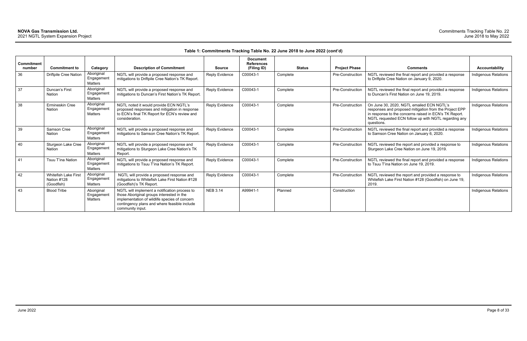|                             |                                                          |                                     |                                                                                                                                                                                                                 |                       | <b>Document</b>                  |               |                      |                                                                                                                                                                                                                                     |                             |
|-----------------------------|----------------------------------------------------------|-------------------------------------|-----------------------------------------------------------------------------------------------------------------------------------------------------------------------------------------------------------------|-----------------------|----------------------------------|---------------|----------------------|-------------------------------------------------------------------------------------------------------------------------------------------------------------------------------------------------------------------------------------|-----------------------------|
| <b>Commitment</b><br>number | <b>Commitment to</b>                                     | Category                            | <b>Description of Commitment</b>                                                                                                                                                                                | <b>Source</b>         | <b>References</b><br>(Filing ID) | <b>Status</b> | <b>Project Phase</b> | <b>Comments</b>                                                                                                                                                                                                                     | Accountability              |
|                             |                                                          |                                     |                                                                                                                                                                                                                 |                       |                                  |               |                      |                                                                                                                                                                                                                                     |                             |
| 36                          | <b>Driftpile Cree Nation</b>                             | Aboriginal<br>Engagemen<br>Matters  | NGTL will provide a proposed response and<br>mitigations to Driftpile Cree Nation's TK Report.                                                                                                                  | Reply Evidence        | C00043-1                         | Complete      | Pre-Construction     | NGTL reviewed the final report and provided a response<br>to Driftpile Cree Nation on January 9, 2020.                                                                                                                              | Indigenous Relations        |
| 37                          | Duncan's First<br>Nation                                 | Aboriginal<br>Engagement<br>Matters | NGTL will provide a proposed response and<br>mitigations to Duncan's First Nation's TK Report.                                                                                                                  | Reply Evidence        | C00043-1                         | Complete      | Pre-Construction     | NGTL reviewed the final report and provided a response<br>to Duncan's First Nation on June 19, 2019.                                                                                                                                | Indigenous Relations        |
| 38                          | Ermineskin Cree<br>Nation                                | Aboriginal<br>Engagemen<br>Matters  | NGTL noted it would provide ECN NGTL's<br>proposed responses and mitigation in response<br>to ECN's final TK Report for ECN's review and<br>consideration.                                                      | Reply Evidence        | C00043-1                         | Complete      | Pre-Construction     | On June 30, 2020, NGTL emailed ECN NGTL's<br>responses and proposed mitigation from the Project EPP<br>in response to the concerns raised in ECN's TK Report.<br>NGTL requested ECN follow up with NGTL regarding any<br>questions. | <b>Indigenous Relations</b> |
| 39                          | Samson Cree<br><b>Nation</b>                             | Aboriginal<br>Engagemen<br>Matters  | NGTL will provide a proposed response and<br>mitigations to Samson Cree Nation's TK Report.                                                                                                                     | Reply Evidence        | C00043-1                         | Complete      | Pre-Construction     | NGTL reviewed the final report and provided a response<br>to Samson Cree Nation on January 6, 2020.                                                                                                                                 | Indigenous Relations        |
| 40                          | Sturgeon Lake Cree<br><b>Nation</b>                      | Aboriginal<br>Engagemen<br>Matters  | NGTL will provide a proposed response and<br>mitigations to Sturgeon Lake Cree Nation's TK<br>Report.                                                                                                           | <b>Reply Evidence</b> | C00043-1                         | Complete      | Pre-Construction     | NGTL reviewed the report and provided a response to<br>Sturgeon Lake Cree Nation on June 19, 2019.                                                                                                                                  | Indigenous Relations        |
| 41                          | Tsuu T'ina Nation                                        | Aboriginal<br>Engagemen<br>Matters  | NGTL will provide a proposed response and<br>mitigations to Tsuu T'ina Nation's TK Report.                                                                                                                      | <b>Reply Evidence</b> | C00043-1                         | Complete      | Pre-Construction     | NGTL reviewed the final report and provided a response<br>to Tsuu T'ina Nation on June 19, 2019.                                                                                                                                    | Indigenous Relations        |
| 42                          | <b>Whitefish Lake First</b><br>Nation #128<br>(Goodfish) | Aboriginal<br>Engagemen<br>Matters  | NGTL will provide a proposed response and<br>mitigations to Whitefish Lake First Nation #128<br>(Goodfish)'s TK Report.                                                                                         | <b>Reply Evidence</b> | C00043-1                         | Complete      | Pre-Construction     | NGTL reviewed the report and provided a response to<br>Whitefish Lake First Nation #128 (Goodfish) on June 19,<br>2019.                                                                                                             | <b>Indigenous Relations</b> |
| 43                          | <b>Blood Tribe</b>                                       | Aboriginal<br>Engagemen<br>Matters  | NGTL will implement a notification process to<br>those Aboriginal groups interested in the<br>implementation of wildlife species of concern<br>contingency plans and where feasible include<br>community input. | <b>NEB 3.14</b>       | A99941-1                         | Planned       | Construction         |                                                                                                                                                                                                                                     | Indigenous Relations        |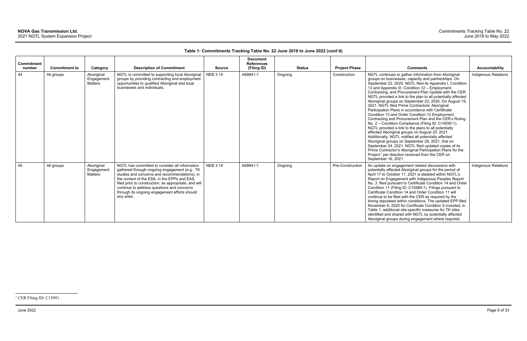<span id="page-9-0"></span>

| <b>Commitment</b><br>number | <b>Commitment to</b> | Category                            | <b>Description of Commitment</b>                                                                                                                                                                                                                                                                                                                                      | <b>Source</b>   | <b>Document</b><br><b>References</b><br>(Filing ID) |         | <b>Status</b> | <b>Project Phase</b> | <b>Comments</b>                                                                                                                                                                                                                                                                                                                                                                                                                                                                                                                                                                                                                                                                                                                                                                                                                                                                                                                                                                                                                                                                                                            | <b>Accountability</b>       |
|-----------------------------|----------------------|-------------------------------------|-----------------------------------------------------------------------------------------------------------------------------------------------------------------------------------------------------------------------------------------------------------------------------------------------------------------------------------------------------------------------|-----------------|-----------------------------------------------------|---------|---------------|----------------------|----------------------------------------------------------------------------------------------------------------------------------------------------------------------------------------------------------------------------------------------------------------------------------------------------------------------------------------------------------------------------------------------------------------------------------------------------------------------------------------------------------------------------------------------------------------------------------------------------------------------------------------------------------------------------------------------------------------------------------------------------------------------------------------------------------------------------------------------------------------------------------------------------------------------------------------------------------------------------------------------------------------------------------------------------------------------------------------------------------------------------|-----------------------------|
| 44                          | All groups           | Aboriginal<br>Engagement<br>Matters | NGTL is committed to supporting local Aboriginal<br>groups by providing contracting and employment<br>opportunities to qualified Aboriginal and local<br>businesses and individuals.                                                                                                                                                                                  | <b>NEB 3.14</b> | A99941-1                                            | Ongoing |               | Construction         | NGTL continues to gather information from Aboriginal<br>groups on businesses, capacity and partnerships. On<br>September 22, 2020, NGTL filed its Appendix I, Condition<br>13 and Appendix III, Condition 12 - Employment,<br>Contracting, and Procurement Plan Update with the CER.<br>NGTL provided a link to the plan to all potentially affected<br>Aboriginal groups on September 23, 2020. On August 19,<br>2021, NGTL filed Prime Contractors' Aboriginal<br>Participation Plans in accordance with Certificate<br>Condition 13 and Order Condition 12 Employment,<br>Contracting and Procurement Plan and the CER's Ruling<br>No. 2 - Condition Compliance (Filing ID: C14550-1).<br>NGTL provided a link to the plans to all potentially<br>affected Aboriginal groups on August 20, 2021.<br>Additionally, NGTL notified all potentially affected<br>Aboriginal groups on September 29, 2021, that on<br>September 24, 2021, NGTL filed updated copies of its<br>Prime Contractor's Aboriginal Participation Plans for the<br>Project <sup>1</sup> per direction received from the CER on<br>September 16, 2021. | <b>Indigenous Relations</b> |
| 45                          | All groups           | Aboriginal<br>Engagement<br>Matters | NGTL has committed to consider all information<br>gathered through ongoing engagement (e.g., TK<br>studies and concerns and recommendations), in<br>the context of the ESA, in the EPPs and EAS<br>filed prior to construction, as appropriate, and will<br>continue to address questions and concerns<br>through its ongoing engagement efforts should<br>any arise. | <b>NEB 3.14</b> | A99941-1                                            | Ongoing |               | Pre-Construction     | An update on engagement related discussions with<br>potentially affected Aboriginal groups for the period of<br>April 17 to October 11, 2021 is detailed within NGTL's<br>Report on Engagement with Indigenous Peoples Report<br>No. 3, filed pursuant to Certificate Condition 14 and Order<br>Condition 11 (Filing ID: C15989-1). Filings pursuant to<br>Certificate Condition 14 and Order Condition 11 will<br>continue to be filed with the CER as required by the<br>timing stipulated within conditions. The updated EPP filed<br>November 9, 2020 for Certificate Condition 5 included, in<br>Table 1, additional site-specific measures for TK sites<br>identified and shared with NGTL by potentially affected<br>Aboriginal groups during engagement where required.                                                                                                                                                                                                                                                                                                                                            | <b>Indigenous Relations</b> |

<sup>&</sup>lt;sup>1</sup> CER Filing ID: C15091.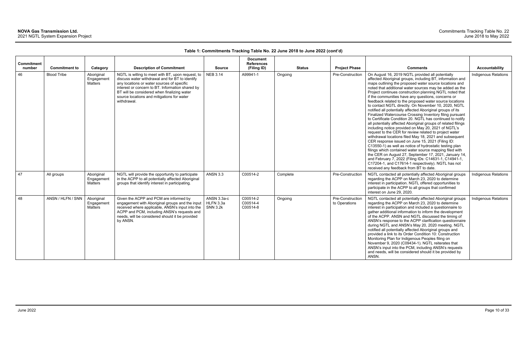| <b>Commitment</b><br>number | <b>Commitment to</b> | Category                            | <b>Description of Commitment</b>                                                                                                                                                                                                                                                                                   | <b>Source</b>                               | <b>Document</b><br><b>References</b><br>(Filing ID) | <b>Status</b> | <b>Project Phase</b>              | <b>Comments</b>                                                                                                                                                                                                                                                                                                                                                                                                                                                                                                                                                                                                                                                                                                                                                                                                                                                                                                                                                                                                                                                                                                                                                                                                                                                                                       | Accountability              |
|-----------------------------|----------------------|-------------------------------------|--------------------------------------------------------------------------------------------------------------------------------------------------------------------------------------------------------------------------------------------------------------------------------------------------------------------|---------------------------------------------|-----------------------------------------------------|---------------|-----------------------------------|-------------------------------------------------------------------------------------------------------------------------------------------------------------------------------------------------------------------------------------------------------------------------------------------------------------------------------------------------------------------------------------------------------------------------------------------------------------------------------------------------------------------------------------------------------------------------------------------------------------------------------------------------------------------------------------------------------------------------------------------------------------------------------------------------------------------------------------------------------------------------------------------------------------------------------------------------------------------------------------------------------------------------------------------------------------------------------------------------------------------------------------------------------------------------------------------------------------------------------------------------------------------------------------------------------|-----------------------------|
| 46                          | <b>Blood Tribe</b>   | Aboriginal<br>Engagement<br>Matters | NGTL is willing to meet with BT, upon request, to<br>discuss water withdrawal and for BT to identify<br>any locations or water sources of specific<br>interest or concern to BT. Information shared by<br>BT will be considered when finalizing water<br>source locations and mitigations for water<br>withdrawal. | <b>NEB 3.14</b>                             | A99941-1                                            | Ongoing       | Pre-Construction                  | On August 16, 2019 NGTL provided all potentially<br>affected Aboriginal groups, including BT, information and<br>maps outlining the proposed water source locations and<br>noted that additional water sources may be added as the<br>Project continues construction planning NGTL noted that<br>if the communities have any questions, concerns or<br>feedback related to the proposed water source locations<br>to contact NGTL directly. On November 10, 2020, NGTL<br>notified all potentially affected Aboriginal groups of its<br>Finalized Watercourse Crossing Inventory filing pursuant<br>to Certificate Condition 20. NGTL has continued to notify<br>all potentially affected Aboriginal groups of related filings<br>including notice provided on May 20, 2021 of NGTL's<br>request to the CER for review related to project water<br>withdrawal locations filed May 18, 2021 and subsequent<br>CER response issued on June 15, 2021 (Filing ID:<br>C13550-1) as well as notice of hydrostatic testing plan<br>filings which contained water source mapping filed with<br>the CER on August 27, September 17, 2021, January 14,<br>and February 7, 2022 (Filing IDs: C14631-1, C14941-1,<br>C17204-1, and C17614-1 respectively). NGTL has not<br>received any feedback from BT to date. | Indigenous Relations        |
| 47                          | All groups           | Aboriginal<br>Engagement<br>Matters | NGTL will provide the opportunity to participate<br>in the ACPP to all potentially affected Aboriginal<br>groups that identify interest in participating.                                                                                                                                                          | <b>ANSN 3.3</b>                             | C00514-2                                            | Complete      | Pre-Construction                  | NGTL contacted all potentially affected Aboriginal groups<br>regarding the ACPP on March 23, 2020 to determine<br>interest in participation. NGTL offered opportunities to<br>participate in the ACPP to all groups that confirmed<br>interest on June 29, 2020.                                                                                                                                                                                                                                                                                                                                                                                                                                                                                                                                                                                                                                                                                                                                                                                                                                                                                                                                                                                                                                      | Indigenous Relations        |
| 48                          | ANSN / HLFN / SNN    | Aboriginal<br>Engagement<br>Matters | Given the ACPP and PCM are informed by<br>engagement with Aboriginal groups and the input<br>received where applicable, ANSN's input into the<br>ACPP and PCM, including ANSN's requests and<br>needs, will be considered should it be provided<br>by ANSN.                                                        | ANSN 3.3a-c<br>HLFN 3.3a<br><b>SNN 3.2k</b> | C00514-2<br>C00514-4<br>C00514-8                    | Ongoing       | Pre-Construction<br>to Operations | NGTL contacted all potentially affected Aboriginal groups<br>regarding the ACPP on March 23, 2020 to determine<br>interest in participation and included a questionnaire to<br>gather additional information to inform the development<br>of the ACPP. ANSN and NGTL discussed the timing of<br>ANSN's response to the ACPP clarification questionnaire<br>during NGTL and ANSN's May 20, 2020 meeting. NGTL<br>notified all potentially affected Aboriginal groups and<br>provided a link to its Order Condition 10: Construction<br>Monitoring Plan for Indigenous Peoples filing on<br>November 9, 2020 (C09434-1). NGTL reiterates that<br>ANSN's input into the PCM, including ANSN's requests<br>and needs, will be considered should it be provided by<br>ANSN.                                                                                                                                                                                                                                                                                                                                                                                                                                                                                                                                | <b>Indigenous Relations</b> |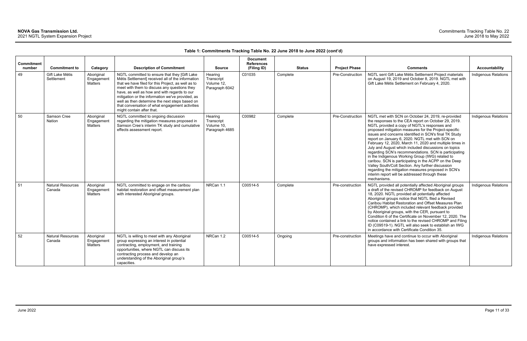| Commitment   |                                                       |                                                 |                                                                                                                                                                                                                                                                                                                                                                                                                                                                                    |                                                                        | <b>Document</b><br><b>References</b> |                           |                                          |                                                                                                                                                                                                                                                                                                                                                                                                                                                                                                                                                                                                                                                                                                                                                                                                        |                                        |
|--------------|-------------------------------------------------------|-------------------------------------------------|------------------------------------------------------------------------------------------------------------------------------------------------------------------------------------------------------------------------------------------------------------------------------------------------------------------------------------------------------------------------------------------------------------------------------------------------------------------------------------|------------------------------------------------------------------------|--------------------------------------|---------------------------|------------------------------------------|--------------------------------------------------------------------------------------------------------------------------------------------------------------------------------------------------------------------------------------------------------------------------------------------------------------------------------------------------------------------------------------------------------------------------------------------------------------------------------------------------------------------------------------------------------------------------------------------------------------------------------------------------------------------------------------------------------------------------------------------------------------------------------------------------------|----------------------------------------|
| number<br>49 | <b>Commitment to</b><br>Gift Lake Métis<br>Settlement | Category<br>Aboriginal<br>Engagement<br>Matters | <b>Description of Commitment</b><br>NGTL committed to ensure that they [Gift Lake<br>Métis Settlement] received all of the information<br>that we have filed for this Project, as well as to<br>meet with them to discuss any questions they<br>have, as well as how and with regards to our<br>mitigation or the information we've provided, as<br>well as then determine the next steps based on<br>that conversation of what engagement activities<br>might contain after that. | <b>Source</b><br>Hearing<br>Transcript<br>Volume 12,<br>Paragraph 6042 | (Filing ID)<br>C01035                | <b>Status</b><br>Complete | <b>Project Phase</b><br>Pre-Construction | <b>Comments</b><br>NGTL sent Gift Lake Métis Settlement Project materials<br>on August 19, 2019 and October 8, 2019. NGTL met with<br>Gift Lake Métis Settlement on February 4, 2020.                                                                                                                                                                                                                                                                                                                                                                                                                                                                                                                                                                                                                  | Accountability<br>Indigenous Relations |
| 50           | Samson Cree<br><b>Nation</b>                          | Aboriginal<br>Engagement<br><b>Matters</b>      | NGTL committed to ongoing discussion<br>regarding the mitigation measures proposed in<br>Samson Cree's interim TK study and cumulative<br>effects assessment report.                                                                                                                                                                                                                                                                                                               | Hearing<br>Transcript<br>Volume 10,<br>Paragraph 4685                  | C00982                               | Complete                  | Pre-Construction                         | NGTL met with SCN on October 24, 2019, re-provided<br>the responses to the CEA report on October 29, 2019.<br>NGTL provided a copy of NGTL's responses and<br>proposed mitigation measures for the Project-specific<br>issues and concerns identified in SCN's final TK Study<br>report on January 6, 2020. NGTL met with SCN on<br>February 12, 2020, March 11, 2020 and multiple times in<br>July and August which included discussions on topics<br>regarding SCN's recommendations. SCN is participating<br>in the Indigenous Working Group (IWG) related to<br>caribou. SCN is participating in the ACPP on the Deep<br>Valley South/Colt Section. Any further discussion<br>regarding the mitigation measures proposed in SCN's<br>interim report will be addressed through these<br>mechanisms. | <b>Indigenous Relations</b>            |
| 51           | <b>Natural Resources</b><br>Canada                    | Aboriginal<br>Engagement<br><b>Matters</b>      | NGTL committed to engage on the caribou<br>habitat restoration and offset measurement plan<br>with interested Aboriginal groups.                                                                                                                                                                                                                                                                                                                                                   | NRCan 1.1                                                              | C00514-5                             | Complete                  | Pre-construction                         | NGTL provided all potentially affected Aboriginal groups<br>a draft of the revised CHROMP for feedback on August<br>18, 2020. NGTL provided all potentially affected<br>Aboriginal groups notice that NGTL filed a Revised<br>Caribou Habitat Restoration and Offset Measures Plan<br>(CHROMP), which included relevant feedback provided<br>by Aboriginal groups, with the CER, pursuant to<br>Condition 6 of the Certificate on November 12, 2020. The<br>notice contained a link to the revised CHROMP and Filing<br>ID (C09519-1). NGTL will also seek to establish an IWG<br>in accordance with Certificate Condition 35.                                                                                                                                                                         | <b>Indigenous Relations</b>            |
| 52           | <b>Natural Resources</b><br>Canada                    | Aboriginal<br>Engagement<br><b>Matters</b>      | NGTL is willing to meet with any Aboriginal<br>group expressing an interest in potential<br>contracting, employment, and training<br>opportunities, where NGTL can discuss its<br>contracting process and develop an<br>understanding of the Aboriginal group's<br>capacities.                                                                                                                                                                                                     | NRCan 1.2                                                              | C00514-5                             | Ongoing                   | Pre-construction                         | Meetings have and continue to occur with Aboriginal<br>groups and information has been shared with groups that<br>have expressed interest.                                                                                                                                                                                                                                                                                                                                                                                                                                                                                                                                                                                                                                                             | <b>Indigenous Relations</b>            |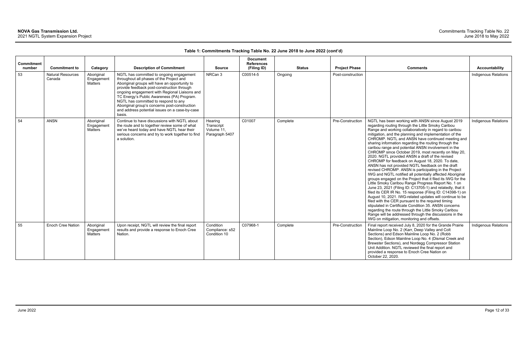| <b>Commitment</b><br>number | <b>Commitment to</b>               | Category                            | <b>Description of Commitment</b>                                                                                                                                                                                                                                                                                                                                                                                                        | <b>Source</b>                                         | <b>Document</b><br><b>References</b><br>(Filing ID) | <b>Status</b> | <b>Project Phase</b> | <b>Comments</b>                                                                                                                                                                                                                                                                                                                                                                                                                                                                                                                                                                                                                                                                                                                                                                                                                                                                                                                                                                                                                                                                                                                                                                                                                                                                                                                    | <b>Accountability</b>       |
|-----------------------------|------------------------------------|-------------------------------------|-----------------------------------------------------------------------------------------------------------------------------------------------------------------------------------------------------------------------------------------------------------------------------------------------------------------------------------------------------------------------------------------------------------------------------------------|-------------------------------------------------------|-----------------------------------------------------|---------------|----------------------|------------------------------------------------------------------------------------------------------------------------------------------------------------------------------------------------------------------------------------------------------------------------------------------------------------------------------------------------------------------------------------------------------------------------------------------------------------------------------------------------------------------------------------------------------------------------------------------------------------------------------------------------------------------------------------------------------------------------------------------------------------------------------------------------------------------------------------------------------------------------------------------------------------------------------------------------------------------------------------------------------------------------------------------------------------------------------------------------------------------------------------------------------------------------------------------------------------------------------------------------------------------------------------------------------------------------------------|-----------------------------|
| 53                          | <b>Natural Resources</b><br>Canada | Aboriginal<br>Engagement<br>Matters | NGTL has committed to ongoing engagement<br>throughout all phases of the Project and<br>Aboriginal groups will have an opportunity to<br>provide feedback post-construction through<br>ongoing engagement with Regional Liaisons and<br>TC Energy's Public Awareness (PA) Program.<br>NGTL has committed to respond to any<br>Aboriginal group's concerns post-construction<br>and address potential issues on a case-by-case<br>basis. | NRCan 3                                               | C00514-5                                            | Ongoing       | Post-construction    |                                                                                                                                                                                                                                                                                                                                                                                                                                                                                                                                                                                                                                                                                                                                                                                                                                                                                                                                                                                                                                                                                                                                                                                                                                                                                                                                    | <b>Indigenous Relations</b> |
| 54                          | <b>ANSN</b>                        | Aboriginal<br>Engagement<br>Matters | Continue to have discussions with NGTL about<br>the route and to together review some of what<br>we've heard today and have NGTL hear their<br>serious concerns and try to work together to find<br>a solution.                                                                                                                                                                                                                         | Hearing<br>Transcript<br>Volume 11,<br>Paragraph 5407 | C01007                                              | Complete      | Pre-Construction     | NGTL has been working with ANSN since August 2019<br>regarding routing through the Little Smoky Caribou<br>Range and working collaboratively in regard to caribou<br>mitigation, and the planning and implementation of the<br>CHROMP. NGTL and ANSN have continued meeting and<br>sharing information regarding the routing through the<br>caribou range and potential ANSN involvement in the<br>CHROMP since October 2019, most recently on May 20,<br>2020. NGTL provided ANSN a draft of the revised<br>CHROMP for feedback on August 18, 2020. To date,<br>ANSN has not provided NGTL feedback on the draft<br>revised CHROMP. ANSN is participating in the Project<br>IWG and NGTL notified all potentially affected Aboriginal<br>groups engaged on the Project that it filed its IWG for the<br>Little Smoky Caribou Range Progress Report No. 1 on<br>June 23, 2021 (Filing ID: C13705-1) and relatedly, that it<br>filed its CER IR No. 15 response (Filing ID: C14398-1) on<br>August 10, 2021. IWG-related updates will continue to be<br>filed with the CER pursuant to the required timing<br>stipulated in Certificate Condition 35. ANSN concerns<br>regarding the route through the Little Smoky Caribou<br>Range will be addressed through the discussions in the<br>IWG on mitigation, monitoring and offsets. | Indigenous Relations        |
| 55                          | Enoch Cree Nation                  | Aboriginal<br>Engagement<br>Matters | Upon receipt, NGTL will review the final report<br>results and provide a response to Enoch Cree<br>Nation.                                                                                                                                                                                                                                                                                                                              | Condition<br>Compliance: s52<br>Condition 10          | C07968-1                                            | Complete      | Pre-Construction     | Final report received July 8, 2020 for the Grande Prairie<br>Mainline Loop No. 2 (Karr, Deep Valley and Colt<br>Sections) and Edson Mainline Loop No. 2 (Robb<br>Section), Edson Mainline Loop No. 4 (Dismal Creek and<br>Brewster Sections), and Nordegg Compressor Station<br>Unit Addition. NGTL reviewed the final report and<br>provided a response to Enoch Cree Nation on<br>October 22, 2020.                                                                                                                                                                                                                                                                                                                                                                                                                                                                                                                                                                                                                                                                                                                                                                                                                                                                                                                              | Indigenous Relations        |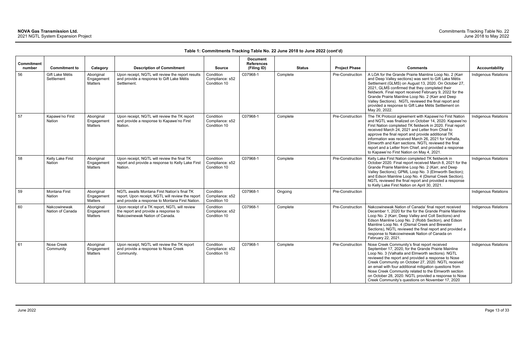| <b>Commitment</b> |                                   |                                            |                                                                                                                                                     |                                              | <b>Document</b><br><b>References</b> |               |                      |                                                                                                                                                                                                                                                                                                                                                                                                                                                                                                               |                             |
|-------------------|-----------------------------------|--------------------------------------------|-----------------------------------------------------------------------------------------------------------------------------------------------------|----------------------------------------------|--------------------------------------|---------------|----------------------|---------------------------------------------------------------------------------------------------------------------------------------------------------------------------------------------------------------------------------------------------------------------------------------------------------------------------------------------------------------------------------------------------------------------------------------------------------------------------------------------------------------|-----------------------------|
| number            | <b>Commitment to</b>              | Category                                   | <b>Description of Commitment</b>                                                                                                                    | <b>Source</b>                                | (Filing ID)                          | <b>Status</b> | <b>Project Phase</b> | <b>Comments</b>                                                                                                                                                                                                                                                                                                                                                                                                                                                                                               | <b>Accountability</b>       |
| 56                | Gift Lake Métis<br>Settlement     | Aboriginal<br>Engagement<br><b>Matters</b> | Upon receipt, NGTL will review the report results<br>and provide a response to Gift Lake Métis<br>Settlement.                                       | Condition<br>Compliance: s52<br>Condition 10 | C07968-1                             | Complete      | Pre-Construction     | A LOA for the Grande Prairie Mainline Loop No. 2 (Karr<br>and Deep Valley sections) was sent to Gift Lake Métis<br>Settlement (GLMS) on August 13, 2020. On October 27,<br>2021, GLMS confirmed that they completed their<br>fieldwork. Final report received February 9, 2022 for the<br>Grande Prairie Mainline Loop No. 2 (Karr and Deep<br>Valley Sections). NGTL reviewed the final report and<br>provided a response to Gift Lake Métis Settlement on<br>May 20, 2022.                                  | Indigenous Relations        |
| 57                | Kapawe'no First<br><b>Nation</b>  | Aboriginal<br>Engagement<br>Matters        | Upon receipt, NGTL will review the TK report<br>and provide a response to Kapawe'no First<br>Nation.                                                | Condition<br>Compliance: s52<br>Condition 10 | C07968-1                             | Complete      | Pre-Construction     | The TK Protocol agreement with Kapawe'no First Nation<br>and NGTL was finalized on October 14, 2020. Kapawe'no<br>First Nation completed TK fieldwork in 2020. Final report<br>received March 24, 2021 and Letter from Chief to<br>approve the final report and provide additional TK<br>information was received March 26, 2021 for Valhalla,<br>Elmworth and Karr sections. NGTL reviewed the final<br>report and a Letter from Chief, and provided a response<br>to Kapawe'no First Nation on May 4, 2021. | Indigenous Relations        |
| 58                | Kelly Lake First<br><b>Nation</b> | Aboriginal<br>Engagement<br>Matters        | Upon receipt, NGTL will review the final TK<br>report and provide a response to Kelly Lake First<br>Nation.                                         | Condition<br>Compliance: s52<br>Condition 10 | C07968-1                             | Complete      | Pre-Construction     | Kelly Lake First Nation completed TK fieldwork in<br>October 2020. Final report received March 8, 2021 for the<br>Grande Prairie Mainline Loop No. 2 (Karr, and Deep<br>Valley Sections); GPML Loop No. 3 (Elmworth Section);<br>and Edson Mainline Loop No. 4 (Dismal Creek Section).<br>NGTL reviewed the final report and provided a response<br>to Kelly Lake First Nation on April 30, 2021.                                                                                                             | Indigenous Relations        |
| 59                | Montana First<br>Nation           | Aboriginal<br>Engagement<br><b>Matters</b> | NGTL awaits Montana First Nation's final TK<br>report. Upon receipt, NGTL will review the report<br>and provide a response to Montana First Nation. | Condition<br>Compliance: s52<br>Condition 10 | C07968-1                             | Ongoing       | Pre-Construction     |                                                                                                                                                                                                                                                                                                                                                                                                                                                                                                               | <b>Indigenous Relations</b> |
| 60                | Nakcowinewak<br>Nation of Canada  | Aboriginal<br>Engagement<br>Matters        | Upon receipt of a TK report, NGTL will review<br>the report and provide a response to<br>Nakcowinewak Nation of Canada.                             | Condition<br>Compliance: s52<br>Condition 10 | C07968-1                             | Complete      | Pre-Construction     | Nakcowinewak Nation of Canada' final report received<br>December 1, 2020 for the for the Grande Prairie Mainline<br>Loop No. 2 (Karr, Deep Valley and Colt Sections) and<br>Edson Mainline Loop No. 2 (Robb Section), and Edson<br>Mainline Loop No. 4 (Dismal Creek and Brewster<br>Sections), NGTL reviewed the final report and provided a<br>response to Nakcowinewak Nation of Canada on<br>February 22, 2021.                                                                                           | Indigenous Relations        |
| 61                | Nose Creek<br>Community           | Aboriginal<br>Engagement<br><b>Matters</b> | Upon receipt, NGTL will review the TK report<br>and provide a response to Nose Creek<br>Community.                                                  | Condition<br>Compliance: s52<br>Condition 10 | C07968-1                             | Complete      | Pre-Construction     | Nose Creek Community's final report received<br>September 17, 2020, for the Grande Prairie Mainline<br>Loop No. 3 (Valhalla and Elmworth sections). NGTL<br>reviewed the report and provided a response to Nose<br>Creek Community on October 27, 2020. NGTL received<br>an email with four additional mitigation questions from<br>Nose Creek Community related to the Elmworth section<br>on October 28, 2020. NGTL provided a response to Nose<br>Creek Community's questions on November 17, 2020         | Indigenous Relations        |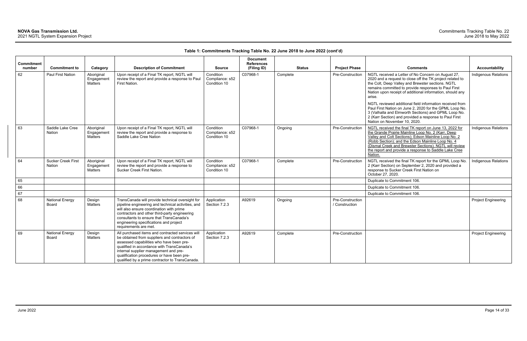| <b>Commitment</b> |                                            |                                            |                                                                                                                                                                                                                                                                                                                                       |                                              | <b>Document</b><br><b>References</b> |               |                                    |                                                                                                                                                                                                                                                                                                                                                                 |                             |
|-------------------|--------------------------------------------|--------------------------------------------|---------------------------------------------------------------------------------------------------------------------------------------------------------------------------------------------------------------------------------------------------------------------------------------------------------------------------------------|----------------------------------------------|--------------------------------------|---------------|------------------------------------|-----------------------------------------------------------------------------------------------------------------------------------------------------------------------------------------------------------------------------------------------------------------------------------------------------------------------------------------------------------------|-----------------------------|
| number            | <b>Commitment to</b>                       | Category                                   | <b>Description of Commitment</b>                                                                                                                                                                                                                                                                                                      | <b>Source</b>                                | (Filing ID)                          | <b>Status</b> | <b>Project Phase</b>               | <b>Comments</b>                                                                                                                                                                                                                                                                                                                                                 | <b>Accountability</b>       |
| 62                | Paul First Nation                          | Aboriginal<br>Engagement<br><b>Matters</b> | Upon receipt of a Final TK report, NGTL will<br>review the report and provide a response to Paul<br>First Nation.                                                                                                                                                                                                                     | Condition<br>Compliance: s52<br>Condition 10 | C07968-1                             | Complete      | Pre-Construction                   | NGTL received a Letter of No Concern on August 27,<br>2020 and a request to close off the TK project related to<br>the Colt, Deep Valley and Brewster sections. NGTL<br>remains committed to provide responses to Paul First<br>Nation upon receipt of additional information, should any<br>arise.<br>NGTL reviewed additional field information received from | Indigenous Relations        |
|                   |                                            |                                            |                                                                                                                                                                                                                                                                                                                                       |                                              |                                      |               |                                    | Paul First Nation on June 2, 2020 for the GPML Loop No.<br>3 (Valhalla and Elmworth Sections) and GPML Loop No.<br>2 (Karr Section) and provided a response to Paul First<br>Nation on November 10, 2020.                                                                                                                                                       |                             |
| 63                | Saddle Lake Cree<br><b>Nation</b>          | Aboriginal<br>Engagement<br>Matters        | Upon receipt of a Final TK report, NGTL will<br>review the report and provide a response to<br>Saddle Lake Cree Nation                                                                                                                                                                                                                | Condition<br>Compliance: s52<br>Condition 10 | C07968-1                             | Ongoing       | Pre-Construction                   | NGTL received the final TK report on June 13, 2022 for<br>the Grande Prairie Mainline Loop No. 2 (Karr, Deep<br>Valley and Colt Sections); Edson Mainline Loop No. 2<br>(Robb Section); and the Edson Mainline Loop No. 4<br>(Dismal Creek and Brewster Sections). NGTL will review<br>the report and provide a response to Saddle Lake Cree<br>Nation.         | <b>Indigenous Relations</b> |
| 64                | <b>Sucker Creek First</b><br><b>Nation</b> | Aboriginal<br>Engagement<br><b>Matters</b> | Upon receipt of a Final TK report, NGTL will<br>review the report and provide a response to<br>Sucker Creek First Nation.                                                                                                                                                                                                             | Condition<br>Compliance: s52<br>Condition 10 | C07968-1                             | Complete      | Pre-Construction                   | NGTL received the final TK report for the GPML Loop No.<br>2 (Karr Section) on September 2, 2020 and provided a<br>response to Sucker Creek First Nation on<br>October 27, 2020.                                                                                                                                                                                | <b>Indigenous Relations</b> |
| 65                |                                            |                                            |                                                                                                                                                                                                                                                                                                                                       |                                              |                                      |               |                                    | Duplicate to Commitment 106.                                                                                                                                                                                                                                                                                                                                    |                             |
| 66                |                                            |                                            |                                                                                                                                                                                                                                                                                                                                       |                                              |                                      |               |                                    | Duplicate to Commitment 106.                                                                                                                                                                                                                                                                                                                                    |                             |
| 67                |                                            |                                            |                                                                                                                                                                                                                                                                                                                                       |                                              |                                      |               |                                    | Duplicate to Commitment 106.                                                                                                                                                                                                                                                                                                                                    |                             |
| 68                | <b>National Energy</b><br>Board            | Design<br><b>Matters</b>                   | TransCanada will provide technical oversight for<br>pipeline engineering and technical activities, and<br>will also ensure coordination with prime<br>contractors and other third-party engineering<br>consultants to ensure that TransCanada's<br>engineering specifications and project<br>requirements are met.                    | Application<br>Section 7.2.3                 | A92619                               | Ongoing       | Pre-Construction<br>/ Construction |                                                                                                                                                                                                                                                                                                                                                                 | <b>Project Engineering</b>  |
| 69                | <b>National Energy</b><br>Board            | Design<br>Matters                          | All purchased items and contracted services will<br>be obtained from suppliers and contractors of<br>assessed capabilities who have been pre-<br>qualified in accordance with TransCanada's<br>internal supplier management and pre-<br>qualification procedures or have been pre-<br>qualified by a prime contractor to TransCanada. | Application<br>Section 7.2.3                 | A92619                               | Complete      | Pre-Construction                   |                                                                                                                                                                                                                                                                                                                                                                 | <b>Project Engineering</b>  |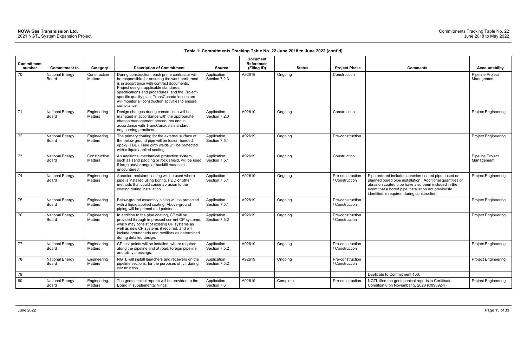| Commitment<br>number | <b>Commitment to</b>            | Category                | <b>Description of Commitment</b>                                                                                                                                                                                                                                                                                                                                 | <b>Source</b>                | <b>Document</b><br><b>References</b><br>(Filing ID) | <b>Status</b> | <b>Project Phase</b>               | <b>Comments</b>                                                                                                                                                                                                                                                               | <b>Accountability</b>          |
|----------------------|---------------------------------|-------------------------|------------------------------------------------------------------------------------------------------------------------------------------------------------------------------------------------------------------------------------------------------------------------------------------------------------------------------------------------------------------|------------------------------|-----------------------------------------------------|---------------|------------------------------------|-------------------------------------------------------------------------------------------------------------------------------------------------------------------------------------------------------------------------------------------------------------------------------|--------------------------------|
| 70                   | <b>National Energy</b><br>Board | Construction<br>Matters | During construction, each prime contractor will<br>be responsible for ensuring the work performed<br>is in accordance with contract documents,<br>Project design, applicable standards,<br>specifications and procedures, and the Project-<br>specific quality plan. TransCanada inspectors<br>will monitor all construction activities to ensure<br>compliance. | Application<br>Section 7.2.3 | A92619                                              | Ongoing       | Construction                       |                                                                                                                                                                                                                                                                               | Pipeline Project<br>Management |
| 71                   | <b>National Energy</b><br>Board | Engineering<br>Matters  | Design changes during construction will be<br>managed in accordance with the appropriate<br>change management procedures and in<br>accordance with TransCanada's standard<br>engineering practices.                                                                                                                                                              | Application<br>Section 7.2.3 | A92619                                              | Ongoing       | Construction                       |                                                                                                                                                                                                                                                                               | <b>Project Engineering</b>     |
| 72                   | <b>National Energy</b><br>Board | Engineering<br>Matters  | The primary coating for the external surface of<br>the below ground pipe will be fusion-bonded<br>epoxy (FBE). Field girth welds will be protected<br>with a liquid applied coating                                                                                                                                                                              | Application<br>Section 7.5.1 | A92619                                              | Ongoing       | Pre-construction                   |                                                                                                                                                                                                                                                                               | <b>Project Engineering</b>     |
| 73                   | <b>National Energy</b><br>Board | Construction<br>Matters | An additional mechanical protection system,<br>such as sand padding or rock shield, will be used<br>if large and/or angular backfill material is<br>encountered.                                                                                                                                                                                                 | Application<br>Section 7.5.1 | A92619                                              | Ongoing       | Construction                       |                                                                                                                                                                                                                                                                               | Pipeline Project<br>Management |
| 74                   | <b>National Energy</b><br>Board | Engineering<br>Matters  | Abrasion-resistant coating will be used where<br>pipe is installed using boring, HDD or other<br>methods that could cause abrasion to the<br>coating during installation.                                                                                                                                                                                        | Application<br>Section 7.5.1 | A92619                                              | Ongoing       | Pre-construction<br>/ Construction | Pipe ordered includes abrasion coated pipe based on<br>planned bored pipe installation. Additional quantities of<br>abrasion coated pipe have also been included in the<br>event that a bored pipe installation not previously<br>identified is required during construction. | <b>Project Engineering</b>     |
| 75                   | <b>National Energy</b><br>Board | Engineering<br>Matters  | Below-ground assembly piping will be protected<br>with a liquid applied coating. Above-ground<br>piping will be primed and painted.                                                                                                                                                                                                                              | Application<br>Section 7.5.1 | A92619                                              | Ongoing       | Pre-construction<br>/ Construction |                                                                                                                                                                                                                                                                               | <b>Project Engineering</b>     |
| 76                   | <b>National Energy</b><br>Board | Engineering<br>Matters  | In addition to the pipe coating, CP will be<br>provided through impressed current CP systems,<br>which may consist of existing CP systems as<br>well as new CP systems if required, and will<br>include groundbeds and rectifiers as determined<br>during detailed design.                                                                                       | Application<br>Section 7.5.2 | A92619                                              | Ongoing       | Pre-construction<br>/ Construction |                                                                                                                                                                                                                                                                               | <b>Project Engineering</b>     |
| 77                   | <b>National Energy</b><br>Board | Engineering<br>Matters  | CP test points will be installed, where required,<br>along the pipeline and at road, foreign pipeline<br>and utility crossings.                                                                                                                                                                                                                                  | Application<br>Section 7.5.2 | A92619                                              | Ongoing       | Pre-construction<br>/ Construction |                                                                                                                                                                                                                                                                               | <b>Project Engineering</b>     |
| 78                   | <b>National Energy</b><br>Board | Engineering<br>Matters  | NGTL will install launchers and receivers on the<br>pipeline sections, for the purposes of ILI, during<br>construction                                                                                                                                                                                                                                           | Application<br>Section 7.5.2 | A92619                                              | Ongoing       | Pre-construction<br>/ Construction |                                                                                                                                                                                                                                                                               | <b>Project Engineering</b>     |
| 79                   |                                 |                         |                                                                                                                                                                                                                                                                                                                                                                  |                              |                                                     |               |                                    | Duplicate to Commitment 106.                                                                                                                                                                                                                                                  |                                |
| 80                   | <b>National Energy</b><br>Board | Engineering<br>Matters  | The geotechnical reports will be provided to the<br>Board in supplemental filings.                                                                                                                                                                                                                                                                               | Application<br>Section 7.6   | A92619                                              | Complete      | Pre-construction                   | NGTL filed the geotechnical reports in Certificate<br>Condition 8 on November 5, 2020 (C09392-1).                                                                                                                                                                             | <b>Project Engineering</b>     |

| <b>Comments</b>                                                                                                                                                                                                                                                               | <b>Accountability</b>          |
|-------------------------------------------------------------------------------------------------------------------------------------------------------------------------------------------------------------------------------------------------------------------------------|--------------------------------|
|                                                                                                                                                                                                                                                                               | Pipeline Project<br>Management |
|                                                                                                                                                                                                                                                                               | <b>Project Engineering</b>     |
|                                                                                                                                                                                                                                                                               | <b>Project Engineering</b>     |
|                                                                                                                                                                                                                                                                               | Pipeline Project<br>Management |
| Pipe ordered includes abrasion coated pipe based on<br>planned bored pipe installation. Additional quantities of<br>abrasion coated pipe have also been included in the<br>event that a bored pipe installation not previously<br>identified is required during construction. | <b>Project Engineering</b>     |
|                                                                                                                                                                                                                                                                               | Project Engineering            |
|                                                                                                                                                                                                                                                                               | <b>Project Engineering</b>     |
|                                                                                                                                                                                                                                                                               | Project Engineering            |
|                                                                                                                                                                                                                                                                               | <b>Project Engineering</b>     |
| Duplicate to Commitment 106.                                                                                                                                                                                                                                                  |                                |
| NGTL filed the geotechnical reports in Certificate<br>Condition 8 on November 5, 2020 (C09392-1).                                                                                                                                                                             | <b>Project Engineering</b>     |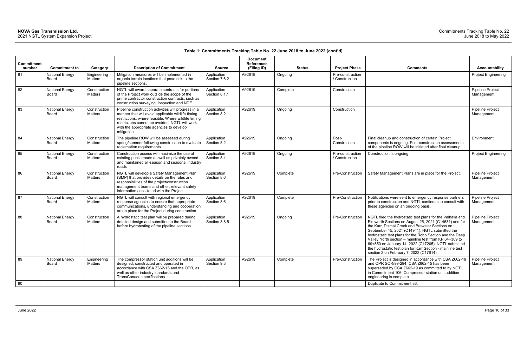| <b>Commitment</b><br>number | <b>Commitment to</b>                   | Category                       | <b>Description of Commitment</b>                                                                                                                                                                                                                                             | <b>Source</b>                | <b>Document</b><br><b>References</b><br>(Filing ID) | <b>Status</b> | <b>Project Phase</b>               | <b>Comments</b>                                                                                                                                                                                                                                                                                                                                                                                                                                                                                                 | <b>Accountability</b>                 |
|-----------------------------|----------------------------------------|--------------------------------|------------------------------------------------------------------------------------------------------------------------------------------------------------------------------------------------------------------------------------------------------------------------------|------------------------------|-----------------------------------------------------|---------------|------------------------------------|-----------------------------------------------------------------------------------------------------------------------------------------------------------------------------------------------------------------------------------------------------------------------------------------------------------------------------------------------------------------------------------------------------------------------------------------------------------------------------------------------------------------|---------------------------------------|
| 81                          | <b>National Energy</b><br><b>Board</b> | Engineering<br><b>Matters</b>  | Mitigation measures will be implemented in<br>organic terrain locations that pose risk to the<br>pipeline sections.                                                                                                                                                          | Application<br>Section 7.6.2 | A92619                                              | Ongoing       | Pre-construction<br>/ Construction |                                                                                                                                                                                                                                                                                                                                                                                                                                                                                                                 | Project Engineering                   |
| 82                          | <b>National Energy</b><br>Board        | Construction<br>Matters        | NGTL will award separate contracts for portions<br>of the Project work outside the scope of the<br>prime contractor construction contracts, such as<br>construction surveying, inspection and NDE.                                                                           | Application<br>Section 8.1.1 | A92619                                              | Complete      | Construction                       |                                                                                                                                                                                                                                                                                                                                                                                                                                                                                                                 | <b>Pipeline Project</b><br>Management |
| 83                          | <b>National Energy</b><br>Board        | Construction<br>Matters        | Pipeline construction activities will progress in a<br>manner that will avoid applicable wildlife timing<br>restrictions, where feasible. Where wildlife timing<br>restrictions cannot be avoided, NGTL will work<br>with the appropriate agencies to develop<br>mitigation. | Application<br>Section 8.2   | A92619                                              | Ongoing       | Construction                       |                                                                                                                                                                                                                                                                                                                                                                                                                                                                                                                 | Pipeline Project<br>Management        |
| 84                          | <b>National Energy</b><br>Board        | Construction<br>Matters        | The pipeline ROW will be assessed during<br>spring/summer following construction to evaluate<br>reclamation requirements.                                                                                                                                                    | Application<br>Section 8.2   | A92619                                              | Ongoing       | Post-<br>Construction              | Final cleanup and construction of certain Project<br>components is ongoing. Post-construction assessments<br>of the pipeline ROW will be initiated after final cleanup.                                                                                                                                                                                                                                                                                                                                         | Environment                           |
| 85                          | <b>National Energy</b><br>Board        | Construction<br>Matters        | Construction access will maximize the use of<br>existing public roads as well as privately owned<br>and maintained all-season and seasonal industry<br>roads                                                                                                                 | Application<br>Section 8.4   | A92619                                              | Ongoing       | Pre-construction<br>/ Construction | Construction is ongoing                                                                                                                                                                                                                                                                                                                                                                                                                                                                                         | <b>Project Engineering</b>            |
| 86                          | <b>National Energy</b><br><b>Board</b> | Construction<br>Matters        | NGTL will develop a Safety Management Plan<br>(SMP) that provides details on the roles and<br>responsibilities of the project/construction<br>management teams and other, relevant safety<br>information associated with the Project                                         | Application<br>Section 8.6   | A92619                                              | Complete      | Pre-Construction                   | Safety Management Plans are in place for the Project.                                                                                                                                                                                                                                                                                                                                                                                                                                                           | Pipeline Project<br>Management        |
| 87                          | <b>National Energy</b><br>Board        | Construction<br>Matters        | NGTL will consult with regional emergency<br>response agencies to ensure that appropriate<br>communications, understanding and cooperation<br>are in place for the Project during construction.                                                                              | Application<br>Section 8.6   | A92619                                              | Complete      | Pre-Construction                   | Notifications were sent to emergency response partners<br>prior to construction and NGTL continues to consult with<br>these agencies on an ongoing basis.                                                                                                                                                                                                                                                                                                                                                       | Pipeline Project<br>Management        |
| 88                          | <b>National Energy</b><br><b>Board</b> | Construction<br><b>Matters</b> | A hydrostatic test plan will be prepared during<br>detailed design and submitted to the Board<br>before hydrotesting of the pipeline sections.                                                                                                                               | Application<br>Section 8.8.5 | A92619                                              | Ongoing       | Pre-Construction                   | NGTL filed the hydrostatic test plans for the Valhalla and<br>Elmworth Sections on August 25, 2021 (C14631) and for<br>the Karr, Dismal Creek and Brewster Sections on<br>September 15, 2021 (C14941). NGTL submitted the<br>hydrostatic test plans for the Robb Section and the Deep<br>Valley North section - mainline test from KP 64+309 to<br>69+550 on January 14, 2022 (C17205). NGTL submitted<br>the hydrostatic test plan for Karr Section - mainline test<br>section 2 on February 7, 2022 (C17614). | Pipeline Project<br>Management        |
| 89                          | <b>National Energy</b><br>Board        | Engineering<br><b>Matters</b>  | The compressor station unit additions will be<br>designed, constructed and operated in<br>accordance with CSA Z662-15 and the OPR, as<br>well as other industry standards and<br>TransCanada specifications                                                                  | Application<br>Section 9.3   | A92619                                              | Complete      | Pre-Construction                   | The Project is designed in accordance with CSA Z662-19<br>and OPR SOR/99-294. CSA Z662-15 has been<br>superseded by CSA Z662-19 as committed to by NGTL<br>in Commitment 106. Compressor station unit addition<br>engineering is complete.                                                                                                                                                                                                                                                                      | Pipeline Project<br>Management        |
| 90                          |                                        |                                |                                                                                                                                                                                                                                                                              |                              |                                                     |               |                                    | Duplicate to Commitment 86.                                                                                                                                                                                                                                                                                                                                                                                                                                                                                     |                                       |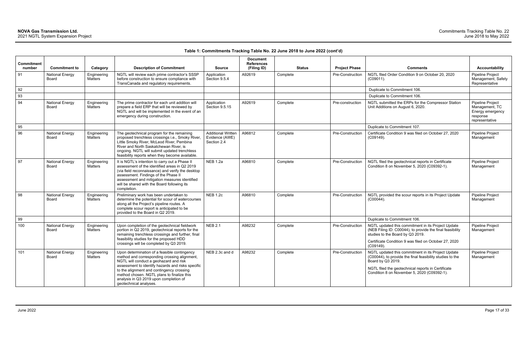|                             |                                 |                               |                                                                                                                                                                                                                                                                                                                                                            |                                                            | <b>Document</b>                  |               |                      |                                                                                                                                                                                                                                           |                                                                                      |
|-----------------------------|---------------------------------|-------------------------------|------------------------------------------------------------------------------------------------------------------------------------------------------------------------------------------------------------------------------------------------------------------------------------------------------------------------------------------------------------|------------------------------------------------------------|----------------------------------|---------------|----------------------|-------------------------------------------------------------------------------------------------------------------------------------------------------------------------------------------------------------------------------------------|--------------------------------------------------------------------------------------|
| <b>Commitment</b><br>number | <b>Commitment to</b>            | Category                      | <b>Description of Commitment</b>                                                                                                                                                                                                                                                                                                                           | <b>Source</b>                                              | <b>References</b><br>(Filing ID) | <b>Status</b> | <b>Project Phase</b> | <b>Comments</b>                                                                                                                                                                                                                           | <b>Accountability</b>                                                                |
| 91                          | <b>National Energy</b><br>Board | Engineering<br><b>Matters</b> | NGTL will review each prime contractor's SSSP<br>before construction to ensure compliance with<br>TransCanada and regulatory requirements.                                                                                                                                                                                                                 | Application<br>Section 9.5.4                               | A92619                           | Complete      | Pre-Construction     | NGTL filed Order Condition 9 on October 20, 2020<br>(C09011).                                                                                                                                                                             | Pipeline Project<br>Management, Safety<br>Representative                             |
| 92                          |                                 |                               |                                                                                                                                                                                                                                                                                                                                                            |                                                            |                                  |               |                      | Duplicate to Commitment 106.                                                                                                                                                                                                              |                                                                                      |
| 93                          |                                 |                               |                                                                                                                                                                                                                                                                                                                                                            |                                                            |                                  |               |                      | Duplicate to Commitment 106.                                                                                                                                                                                                              |                                                                                      |
| 94                          | <b>National Energy</b><br>Board | Engineering<br>Matters        | The prime contractor for each unit addition will<br>prepare a field ERP that will be reviewed by<br>NGTL and will be implemented in the event of an<br>emergency during construction.                                                                                                                                                                      | Application<br>Section 9.5.15                              | A92619                           | Complete      | Pre-construction     | NGTL submitted the ERPs for the Compressor Station<br>Unit Additions on August 6, 2020.                                                                                                                                                   | Pipeline Project<br>Management, TC<br>Energy emergency<br>response<br>representative |
| 95                          |                                 |                               |                                                                                                                                                                                                                                                                                                                                                            |                                                            |                                  |               |                      | Duplicate to Commitment 107.                                                                                                                                                                                                              |                                                                                      |
| 96                          | <b>National Energy</b><br>Board | Engineering<br>Matters        | The geotechnical program for the remaining<br>proposed trenchless crossings i.e., Smoky River,<br>Little Smoky River, McLeod River, Pembina<br>River and North Saskatchewan River, is<br>ongoing. NGTL will submit updated trenchless<br>feasibility reports when they become available.                                                                   | <b>Additional Written</b><br>Evidence (AWE)<br>Section 2.4 | A96812                           | Complete      | Pre-Construction     | Certificate Condition 9 was filed on October 27, 2020<br>(C09149).                                                                                                                                                                        | Pipeline Project<br>Management                                                       |
| 97                          | <b>National Energy</b><br>Board | Engineering<br><b>Matters</b> | It is NGTL's intention to carry out a Phase II<br>assessment of the identified areas in Q2 2019<br>(via field reconnaissance) and verify the desktop<br>assessment. Findings of the Phase II<br>assessment and mitigation measures identified<br>will be shared with the Board following its<br>completion.                                                | <b>NEB 1.2a</b>                                            | A96810                           | Complete      | Pre-Construction     | NGTL filed the geotechnical reports in Certificate<br>Condition 8 on November 5, 2020 (C09392-1).                                                                                                                                         | Pipeline Project<br>Management                                                       |
| 98                          | <b>National Energy</b><br>Board | Engineering<br>Matters        | Preliminary work has been undertaken to<br>determine the potential for scour of watercourses<br>along all the Project's pipeline routes. A<br>complete scour report is anticipated to be<br>provided to the Board in Q2 2019.                                                                                                                              | <b>NEB 1.2c</b>                                            | A96810                           | Complete      | Pre-Construction     | NGTL provided the scour reports in its Project Update<br>$(C00044)$ .                                                                                                                                                                     | Pipeline Project<br>Management                                                       |
| 99                          |                                 |                               |                                                                                                                                                                                                                                                                                                                                                            |                                                            |                                  |               |                      | Duplicate to Commitment 106.                                                                                                                                                                                                              |                                                                                      |
| 100                         | <b>National Energy</b><br>Board | Engineering<br>Matters        | Upon completion of the geotechnical fieldwork<br>portion in Q2 2019, geotechnical reports for the<br>remaining trenchless crossings and further, final<br>feasibility studies for the proposed HDD<br>crossings will be completed by Q3 2019.                                                                                                              | <b>NEB 2.1</b>                                             | A98232                           | Complete      | Pre-Construction     | NGTL updated this commitment in its Project Update<br>(NEB Filing ID: C00044), to provide the final feasibility<br>studies to the Board by Q3 2019.<br>Certificate Condition 9 was filed on October 27, 2020<br>(C09149).                 | Pipeline Project<br>Management                                                       |
| 101                         | <b>National Energy</b><br>Board | Engineering<br>Matters        | Upon determination of a feasible contingency<br>method and corresponding crossing alignment,<br>NGTL will conduct a geohazard and risk<br>assessment to identify hazards and risks specific<br>to the alignment and contingency crossing<br>method chosen. NGTL plans to finalize this<br>analysis in Q3 2019 upon completion of<br>geotechnical analyses. | NEB 2.3c and d                                             | A98232                           | Complete      | Pre-Construction     | NGTL updated this commitment in its Project Update<br>(C00044), to provide the final feasibility studies to the<br>Board by Q3 2019.<br>NGTL filed the geotechnical reports in Certificate<br>Condition 8 on November 5, 2020 (C09392-1). | Pipeline Project<br>Management                                                       |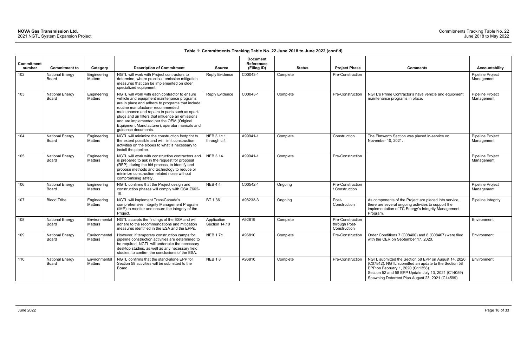|                             |                                 |                          |                                                                                                                                                                                                                                                                                                                                                                                                                  |                              | <b>Document</b>                  |               |                                                   |                                                                                                                                                                                                                                                              |                                |
|-----------------------------|---------------------------------|--------------------------|------------------------------------------------------------------------------------------------------------------------------------------------------------------------------------------------------------------------------------------------------------------------------------------------------------------------------------------------------------------------------------------------------------------|------------------------------|----------------------------------|---------------|---------------------------------------------------|--------------------------------------------------------------------------------------------------------------------------------------------------------------------------------------------------------------------------------------------------------------|--------------------------------|
| <b>Commitment</b><br>number | <b>Commitment to</b>            | Category                 | <b>Description of Commitment</b>                                                                                                                                                                                                                                                                                                                                                                                 | <b>Source</b>                | <b>References</b><br>(Filing ID) | <b>Status</b> | <b>Project Phase</b>                              | <b>Comments</b>                                                                                                                                                                                                                                              | <b>Accountability</b>          |
| 102                         | <b>National Energy</b><br>Board | Engineering<br>Matters   | NGTL will work with Project contractors to<br>determine, where practical, emission mitigation<br>measures that can be implemented on older<br>specialized equipment.                                                                                                                                                                                                                                             | <b>Reply Evidence</b>        | C00043-1                         | Complete      | Pre-Construction                                  |                                                                                                                                                                                                                                                              | Pipeline Project<br>Management |
| 103                         | <b>National Energy</b><br>Board | Engineering<br>Matters   | NGTL will work with each contractor to ensure<br>vehicle and equipment maintenance programs<br>are in place and adhere to programs that include<br>routine manufacturer recommended<br>maintenance and repairs to parts such as spark<br>plugs and air filters that influence air emissions<br>and are implemented per the OEM (Original<br>Equipment Manufacturer), operator manuals and<br>guidance documents. | <b>Reply Evidence</b>        | C00043-1                         | Complete      | Pre-Construction                                  | NGTL's Prime Contractor's have vehicle and equipment<br>maintenance programs in place.                                                                                                                                                                       | Pipeline Project<br>Management |
| 104                         | <b>National Energy</b><br>Board | Engineering<br>Matters   | NGTL will minimize the construction footprint to<br>the extent possible and will, limit construction<br>activities on the slopes to what is necessary to<br>install the pipeline.                                                                                                                                                                                                                                | NEB 3.1c.1<br>through c.4    | A99941-1                         | Complete      | Construction                                      | The Elmworth Section was placed in-service on<br>November 10, 2021.                                                                                                                                                                                          | Pipeline Project<br>Management |
| 105                         | <b>National Energy</b><br>Board | Engineering<br>Matters   | NGTL will work with construction contractors and<br>is prepared to ask in the request for proposal<br>(RFP), during the bid process, to identify and<br>propose methods and technology to reduce or<br>minimize construction related noise without<br>compromising safety.                                                                                                                                       | <b>NEB 3.14</b>              | A99941-1                         | Complete      | Pre-Construction                                  |                                                                                                                                                                                                                                                              | Pipeline Project<br>Management |
| 106                         | <b>National Energy</b><br>Board | Engineering<br>Matters   | NGTL confirms that the Project design and<br>construction phases will comply with CSA Z662-<br>19.                                                                                                                                                                                                                                                                                                               | <b>NEB 4.4</b>               | C00542-1                         | Ongoing       | Pre-Construction<br>/ Construction                |                                                                                                                                                                                                                                                              | Pipeline Project<br>Management |
| 107                         | <b>Blood Tribe</b>              | Engineering<br>Matters   | NGTL will implement TransCanada's<br>comprehensive Integrity Management Program<br>(IMP) to monitor and ensure the integrity of the<br>Project.                                                                                                                                                                                                                                                                  | BT 1.36                      | A98233-3                         | Ongoing       | Post-<br>Construction                             | As components of the Project are placed into service,<br>there are several ongoing activities to support the<br>implementation of TC Energy's Integrity Management<br>Program.                                                                               | Pipeline Integrity             |
| 108                         | <b>National Energy</b><br>Board | Environmental<br>Matters | NGTL accepts the findings of the ESA and will<br>adhere to the recommendations and mitigation<br>measures identified in the ESA and the EPPs.                                                                                                                                                                                                                                                                    | Application<br>Section 14.10 | A92619                           | Complete      | Pre-Construction<br>through Post-<br>Construction |                                                                                                                                                                                                                                                              | Environment                    |
| 109                         | <b>National Energy</b><br>Board | Environmental<br>Matters | However, if temporary construction camps for<br>pipeline construction activities are determined to<br>be required, NGTL will undertake the necessary<br>desktop studies, as well as any necessary field<br>studies, to confirm the conclusions of the ESA.                                                                                                                                                       | <b>NEB 1.7c</b>              | A96810                           | Complete      | Pre-Construction                                  | Order Conditions 7 (C08400) and 8 (C08407) were filed<br>with the CER on September 17, 2020.                                                                                                                                                                 | Environment                    |
| 110                         | <b>National Energy</b><br>Board | Environmental<br>Matters | NGTL confirms that the stand-alone EPP for<br>Section 58 activities will be submitted to the<br>Board                                                                                                                                                                                                                                                                                                            | <b>NEB 1.8</b>               | A96810                           | Complete      | Pre-Construction                                  | NGTL submitted the Section 58 EPP on August 14, 2020<br>(C07842). NGTL submitted an update to the Section 58<br>EPP on February 1, 2020 (C11358).<br>Section 52 and 58 EPP Update July 13, 2021 (C14059)<br>Spawning Deterrent Plan August 23, 2021 (C14599) | Environment                    |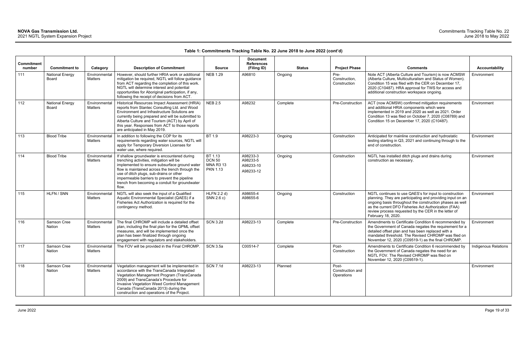| <b>Commitment</b><br>number | <b>Commitment to</b>                   | Category                 | <b>Description of Commitment</b>                                                                                                                                                                                                                                                                                                                    | <b>Source</b>                                                   | <b>Document</b><br><b>References</b><br>(Filing ID) |          | <b>Status</b><br><b>Project Phase</b>   | <b>Comments</b>                                                                                                                                                                                                                                                                                                        | <b>Accountability</b> |
|-----------------------------|----------------------------------------|--------------------------|-----------------------------------------------------------------------------------------------------------------------------------------------------------------------------------------------------------------------------------------------------------------------------------------------------------------------------------------------------|-----------------------------------------------------------------|-----------------------------------------------------|----------|-----------------------------------------|------------------------------------------------------------------------------------------------------------------------------------------------------------------------------------------------------------------------------------------------------------------------------------------------------------------------|-----------------------|
| 111                         | <b>National Energy</b><br><b>Board</b> | Environmental<br>Matters | However, should further HRIA work or additional<br>mitigation be required, NGTL will follow guidance<br>from ACT regarding the completion of this work.<br>NGTL will determine interest and potential<br>opportunities for Aboriginal participation, if any,<br>following the receipt of decisions from ACT.                                        | <b>NEB 1.29</b>                                                 | A96810                                              | Ongoing  | Pre-<br>Construction,<br>Construction   | Note ACT (Alberta Culture and Tourism) is now ACMSW<br>(Alberta Culture, Multiculturalism and Status of Women).<br>Condition 15 was filed with the CER on December 17,<br>2020 (C10487). HRA approval for TWS for access and<br>additional construction workspace ongoing.                                             | Environment           |
| 112                         | <b>National Energy</b><br>Board        | Environmental<br>Matters | Historical Resources Impact Assessment (HRIA)<br>reports from Stantec Consulting Ltd. and Wood<br>Environment and Infrastructure Solutions are<br>currently being prepared and will be submitted to<br>Alberta Culture and Tourism (ACT) by April of<br>this year. Responses from ACT to those reports<br>are anticipated in May 2019.              | <b>NEB 2.5</b>                                                  | A98232                                              | Complete | Pre-Construction                        | ACT (now ACMSW) confirmed mitigation requirements<br>and additional HRIA components which were<br>implemented in 2019 and 2020 as well as 2021. Order<br>Condition 13 was filed on October 7, 2020 (C08789) and<br>Condition 15 on December 17, 2020 (C10487).                                                         | Environment           |
| 113                         | <b>Blood Tribe</b>                     | Environmental<br>Matters | In addition to following the COP for its<br>requirements regarding water sources, NGTL will<br>apply for Temporary Diversion Licenses for<br>water use, where required.                                                                                                                                                                             | BT 1.9                                                          | A98223-3                                            | Ongoing  | Construction                            | Anticipated for mainline construction and hydrostatic<br>testing starting in Q3, 2021 and continuing through to the<br>end of construction.                                                                                                                                                                            | Environment           |
| 114                         | <b>Blood Tribe</b>                     | Environmental<br>Matters | If shallow groundwater is encountered during<br>trenching activities, mitigation will be<br>implemented to ensure subsurface ground water<br>flow is maintained across the trench through the<br>use of ditch plugs, sub-drains or other<br>impermeable barriers to prevent the pipeline<br>trench from becoming a conduit for groundwater<br>flow. | BT 1.13<br><b>DCN 50</b><br><b>MNA R3 13</b><br><b>PKN 1.13</b> | A98233-3<br>A98233-5<br>A98233-10<br>A98233-12      | Ongoing  | Construction                            | NGTL has installed ditch plugs and drains during<br>construction as necessary.                                                                                                                                                                                                                                         | Environment           |
| 115                         | HLFN / SNN                             | Environmental<br>Matters | NGTL will also seek the input of a Qualified<br>Aquatic Environmental Specialist (QAES) if a<br>Fisheries Act Authorization is required for the<br>contingency method.                                                                                                                                                                              | <b>HLFN 2.2 d)</b><br>SNN 2.6 c)                                | A98655-4<br>A98655-6                                | Ongoing  | Construction                            | NGTL continues to use QAES's for input to construction<br>planning. They are participating and providing input on an<br>ongoing basis throughout the construction phases as well<br>as the current DFO Fisheries Act Authorization (FAA)<br>review process requested by the CER in the letter of<br>February 18, 2020. | Environment           |
| 116                         | Samson Cree<br>Nation                  | Environmental<br>Matters | The final CHROMP will include a detailed offset<br>plan, including the final plan for the GPML offset<br>measures, and will be implemented once the<br>plan has been finalized through ongoing<br>engagement with regulators and stakeholders.                                                                                                      | <b>SCN 3.2d</b>                                                 | A98223-13                                           | Complete | Pre-Construction                        | Amendments to Certificate Condition 6 recommended by<br>the Government of Canada negates the requirement for a<br>detailed offset plan and has been replaced with a<br>mandated threshold. The Revised CHROMP was filed on<br>November 12, 2020 (C09519-1) as the final CHROMP.                                        | Environment           |
| 117                         | Samson Cree<br>Nation                  | Environmental<br>Matters | The FOV will be provided in the Final CHROMP.                                                                                                                                                                                                                                                                                                       | <b>SCN 3.5a</b>                                                 | C00514-7                                            | Complete | Post-<br>Construction                   | Amendments to Certificate Condition 6 recommended by<br>the Government of Canada negates the need for an<br>NGTL FOV. The Revised CHROMP was filed on<br>November 12, 2020 (C09519-1).                                                                                                                                 | Indigenous Relations  |
| 118                         | Samson Cree<br>Nation                  | Environmental<br>Matters | Vegetation management will be implemented in<br>accordance with the TransCanada Integrated<br>Vegetation Management Program (TransCanada<br>2009) and TransCanada's Procedure for<br>Invasive Vegetation Weed Control Management<br>Canada (TransCanada 2013) during the<br>construction and operations of the Project.                             | <b>SCN 7.1d</b>                                                 | A98223-13                                           | Planned  | Post-<br>Construction and<br>Operations |                                                                                                                                                                                                                                                                                                                        | Environment           |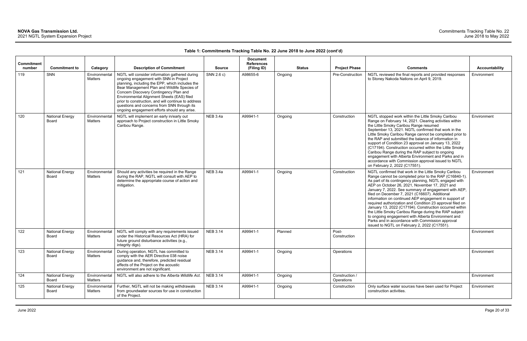| <b>Commitment</b><br>number | <b>Commitment to</b>            |                                      | <b>Description of Commitment</b>                                                                                                                                                                                                                                                                                                                                                                                                          | <b>Source</b>   | <b>Document</b><br><b>References</b> |         | <b>Status</b> | <b>Project Phase</b>         | <b>Comments</b>                                                                                                                                                                                                                                                                                                                                                                                                                                                                                                                                                                                                                                                                                                                          | Accountability |
|-----------------------------|---------------------------------|--------------------------------------|-------------------------------------------------------------------------------------------------------------------------------------------------------------------------------------------------------------------------------------------------------------------------------------------------------------------------------------------------------------------------------------------------------------------------------------------|-----------------|--------------------------------------|---------|---------------|------------------------------|------------------------------------------------------------------------------------------------------------------------------------------------------------------------------------------------------------------------------------------------------------------------------------------------------------------------------------------------------------------------------------------------------------------------------------------------------------------------------------------------------------------------------------------------------------------------------------------------------------------------------------------------------------------------------------------------------------------------------------------|----------------|
| 119                         | SNN                             | Category<br>Environmental<br>Matters | NGTL will consider information gathered during<br>ongoing engagement with SNN in Project<br>planning, including the EPP, which includes the<br>Bear Management Plan and Wildlife Species of<br>Concern Discovery Contingency Plan and<br>Environmental Alignment Sheets (EAS) filed<br>prior to construction, and will continue to address<br>questions and concerns from SNN through its<br>ongoing engagement efforts should any arise. | SNN 2.6 c)      | (Filing ID)<br>A98655-6              | Ongoing |               | Pre-Construction             | NGTL reviewed the final reports and provided responses<br>to Stoney Nakoda Nations on April 9, 2019.                                                                                                                                                                                                                                                                                                                                                                                                                                                                                                                                                                                                                                     | Environment    |
| 120                         | <b>National Energy</b><br>Board | Environmental<br>Matters             | NGTL will implement an early in/early out<br>approach to Project construction in Little Smoky<br>Caribou Range.                                                                                                                                                                                                                                                                                                                           | NEB 3.4a        | A99941-1                             | Ongoing |               | Construction                 | NGTL stopped work within the Little Smoky Caribou<br>Range on February 14, 2021. Clearing activities within<br>the Little Smoky Caribou Range resumed<br>September 13, 2021. NGTL confirmed that work in the<br>Little Smoky Caribou Range cannot be completed prior to<br>the RAP and submitted the balance of information in<br>support of Condition 23 approval on January 13, 2022<br>(C17194). Construction occurred within the Little Smoky<br>Caribou Range during the RAP subject to ongoing<br>engagement with Alberta Environment and Parks and in<br>accordance with Commission approval issued to NGTL<br>on February 2, 2022 (C17551).                                                                                      | Environment    |
| 121                         | <b>National Energy</b><br>Board | Environmental<br>Matters             | Should any activities be required in the Range<br>during the RAP, NGTL will consult with AEP to<br>determine the appropriate course of action and<br>mitigation.                                                                                                                                                                                                                                                                          | <b>NEB 3.4a</b> | A99941-1                             | Ongoing |               | Construction                 | NGTL confirmed that work in the Little Smoky Caribou<br>Range cannot be completed prior to the RAP (C16840-1).<br>As part of its contingency planning, NGTL engaged with<br>AEP on October 26, 2021, November 17, 2021 and<br>January 7, 2022. See summary of engagement with AEP,<br>filed on December 7, 2021 (C16607). Additional<br>information on continued AEP engagement in support of<br>required authorization and Condition 23 approval filed on<br>January 13, 2022 (C17194). Construction occurred within<br>the Little Smoky Caribou Range during the RAP subject<br>to ongoing engagement with Alberta Environment and<br>Parks and in accordance with Commission approval<br>issued to NGTL on February 2, 2022 (C17551). | Environment    |
| 122                         | <b>National Energy</b><br>Board | Environmental<br>Matters             | NGTL will comply with any requirements issued<br>under the Historical Resources Act (HRA) for<br>future ground disturbance activities (e.g.,<br>integrity digs).                                                                                                                                                                                                                                                                          | <b>NEB 3.14</b> | A99941-1                             | Planned |               | Post-<br>Construction        |                                                                                                                                                                                                                                                                                                                                                                                                                                                                                                                                                                                                                                                                                                                                          | Environment    |
| 123                         | <b>National Energy</b><br>Board | Environmental<br>Matters             | During operation, NGTL has committed to<br>comply with the AER Directive 038 noise<br>guidance and, therefore, predicted residual<br>effects of the Project on the acoustic<br>environment are not significant.                                                                                                                                                                                                                           | <b>NEB 3.14</b> | A99941-1                             | Ongoing |               | Operations                   |                                                                                                                                                                                                                                                                                                                                                                                                                                                                                                                                                                                                                                                                                                                                          | Environment    |
| 124                         | <b>National Energy</b><br>Board | Environmental<br>Matters             | NGTL will also adhere to the Alberta Wildlife Act.                                                                                                                                                                                                                                                                                                                                                                                        | <b>NEB 3.14</b> | A99941-1                             | Ongoing |               | Construction /<br>Operations |                                                                                                                                                                                                                                                                                                                                                                                                                                                                                                                                                                                                                                                                                                                                          | Environment    |
| 125                         | <b>National Energy</b><br>Board | Environmental<br>Matters             | Further, NGTL will not be making withdrawals<br>from groundwater sources for use in construction<br>of the Project.                                                                                                                                                                                                                                                                                                                       | <b>NEB 3.14</b> | A99941-1                             | Ongoing |               | Construction                 | Only surface water sources have been used for Project<br>construction activities.                                                                                                                                                                                                                                                                                                                                                                                                                                                                                                                                                                                                                                                        | Environment    |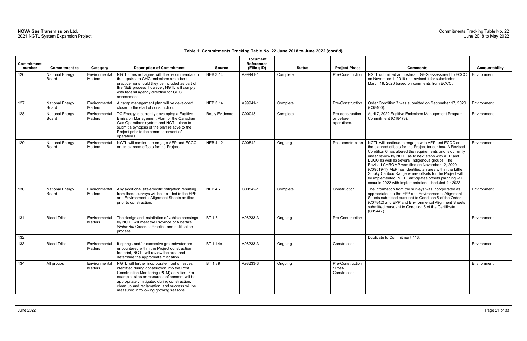| <b>Commitment</b><br>number | <b>Commitment to</b>                   | Category                        | <b>Description of Commitment</b>                                                                                                                                                                                                                                                                                                            | <b>Source</b>         | <b>Document</b><br><b>References</b><br>(Filing ID) | <b>Status</b> | <b>Project Phase</b>                         | <b>Comments</b>                                                                                                                                                                                                                                                                                                                                                                                                                                                                                                                                                                | Accountability |
|-----------------------------|----------------------------------------|---------------------------------|---------------------------------------------------------------------------------------------------------------------------------------------------------------------------------------------------------------------------------------------------------------------------------------------------------------------------------------------|-----------------------|-----------------------------------------------------|---------------|----------------------------------------------|--------------------------------------------------------------------------------------------------------------------------------------------------------------------------------------------------------------------------------------------------------------------------------------------------------------------------------------------------------------------------------------------------------------------------------------------------------------------------------------------------------------------------------------------------------------------------------|----------------|
| 126                         | <b>National Energy</b><br>Board        | Environmental<br>Matters        | NGTL does not agree with the recommendation<br>that upstream GHG emissions are a best<br>practice nor should they be included as part of<br>the NEB process, however, NGTL will comply<br>with federal agency direction for GHG<br>assessment.                                                                                              | <b>NEB 3.14</b>       | A99941-1                                            | Complete      | Pre-Construction                             | NGTL submitted an upstream GHG assessment to ECCC<br>on November 1, 2019 and revised it for submission<br>March 19, 2020 based on comments from ECCC.                                                                                                                                                                                                                                                                                                                                                                                                                          | Environment    |
| 127                         | <b>National Energy</b><br>Board        | Environmental<br><b>Matters</b> | A camp management plan will be developed<br>closer to the start of construction.                                                                                                                                                                                                                                                            | <b>NEB 3.14</b>       | A99941-1                                            | Complete      | Pre-Construction                             | Order Condition 7 was submitted on September 17, 2020<br>$(C08400)$ .                                                                                                                                                                                                                                                                                                                                                                                                                                                                                                          | Environment    |
| 128                         | <b>National Energy</b><br>Board        | Environmental<br>Matters        | TC Energy is currently developing a Fugitive<br>Emission Management Plan for the Canadian<br>Gas Operations system and NGTL plans to<br>submit a synopsis of the plan relative to the<br>Project prior to the commencement of<br>operations.                                                                                                | <b>Reply Evidence</b> | C00043-1                                            | Complete      | Pre-construction<br>or before<br>operations. | April 7, 2022 Fugitive Emissions Management Program<br>Commitment (C18478).                                                                                                                                                                                                                                                                                                                                                                                                                                                                                                    | Environment    |
| 129                         | <b>National Energy</b><br><b>Board</b> | Environmental<br>Matters        | NGTL will continue to engage AEP and ECCC<br>on its planned offsets for the Project.                                                                                                                                                                                                                                                        | <b>NEB 4.12</b>       | C00542-1                                            | Ongoing       | Post-construction                            | NGTL will continue to engage with AEP and ECCC on<br>the planned offsets for the Project for caribou. A Revised<br>Condition 6 has altered the requirements and is currently<br>under review by NGTL as to next steps with AEP and<br>ECCC as well as several Indigenous groups. The<br>Revised CHROMP was filed on November 12, 2020<br>(C09519-1). AEP has identified an area within the Little<br>Smoky Caribou Range where offsets for the Project will<br>be implemented. NGTL anticipates offsets planning will<br>occur in 2022 with implementation scheduled for 2023. | Environment    |
| 130                         | <b>National Energy</b><br><b>Board</b> | Environmental<br>Matters        | Any additional site-specific mitigation resulting<br>from these surveys will be included in the EPP<br>and Environmental Alignment Sheets as filed<br>prior to construction.                                                                                                                                                                | <b>NEB 4.7</b>        | C00542-1                                            | Complete      | Construction                                 | The information from the surveys was incorporated as<br>appropriate into the EPP and Environmental Alignment<br>Sheets submitted pursuant to Condition 5 of the Order<br>(C07842) and EPP and Environmental Alignment Sheets<br>submitted pursuant to Condition 5 of the Certificate<br>(C09447).                                                                                                                                                                                                                                                                              | Environment    |
| 131                         | <b>Blood Tribe</b>                     | Environmental<br>Matters        | The design and installation of vehicle crossings<br>by NGTL will meet the Province of Alberta's<br>Water Act Codes of Practice and notification<br>process.                                                                                                                                                                                 | BT 1.8                | A98233-3                                            | Ongoing       | Pre-Construction                             |                                                                                                                                                                                                                                                                                                                                                                                                                                                                                                                                                                                | Environment    |
| 132                         |                                        |                                 |                                                                                                                                                                                                                                                                                                                                             |                       |                                                     |               |                                              | Duplicate to Commitment 113.                                                                                                                                                                                                                                                                                                                                                                                                                                                                                                                                                   |                |
| 133                         | <b>Blood Tribe</b>                     | Environmental<br>Matters        | If springs and/or excessive groundwater are<br>encountered within the Project construction<br>footprint, NGTL will review the area and<br>determine the appropriate mitigation.                                                                                                                                                             | BT 1.14e              | A98233-3                                            | Ongoing       | Construction                                 |                                                                                                                                                                                                                                                                                                                                                                                                                                                                                                                                                                                | Environment    |
| 134                         | All groups                             | Environmental<br>Matters        | NGTL will further incorporate input or issues<br>identified during construction into the Post<br>Construction Monitoring (PCM) activities. For<br>example, sites or resources of concern will be<br>appropriately mitigated during construction,<br>clean up and reclamation, and success will be<br>measured in following growing seasons. | BT 1.39               | A98233-3                                            | Ongoing       | Pre-Construction<br>/ Post-<br>Construction  |                                                                                                                                                                                                                                                                                                                                                                                                                                                                                                                                                                                | Environment    |

| <b>Comments</b>                                                                                                                                                                                                                                                                                                                                                                                                                                                                                                                                                                | <b>Accountability</b> |
|--------------------------------------------------------------------------------------------------------------------------------------------------------------------------------------------------------------------------------------------------------------------------------------------------------------------------------------------------------------------------------------------------------------------------------------------------------------------------------------------------------------------------------------------------------------------------------|-----------------------|
| NGTL submitted an upstream GHG assessment to ECCC<br>on November 1, 2019 and revised it for submission<br>March 19, 2020 based on comments from ECCC.                                                                                                                                                                                                                                                                                                                                                                                                                          | Environment           |
| Order Condition 7 was submitted on September 17, 2020<br>(C08400).                                                                                                                                                                                                                                                                                                                                                                                                                                                                                                             | Environment           |
| April 7, 2022 Fugitive Emissions Management Program<br>Commitment (C18478).                                                                                                                                                                                                                                                                                                                                                                                                                                                                                                    | Environment           |
| NGTL will continue to engage with AEP and ECCC on<br>the planned offsets for the Project for caribou. A Revised<br>Condition 6 has altered the requirements and is currently<br>under review by NGTL as to next steps with AEP and<br>ECCC as well as several Indigenous groups. The<br>Revised CHROMP was filed on November 12, 2020<br>(C09519-1). AEP has identified an area within the Little<br>Smoky Caribou Range where offsets for the Project will<br>be implemented. NGTL anticipates offsets planning will<br>occur in 2022 with implementation scheduled for 2023. | Environment           |
| The information from the surveys was incorporated as<br>appropriate into the EPP and Environmental Alignment<br>Sheets submitted pursuant to Condition 5 of the Order<br>(C07842) and EPP and Environmental Alignment Sheets<br>submitted pursuant to Condition 5 of the Certificate<br>(C09447).                                                                                                                                                                                                                                                                              | Environment           |
|                                                                                                                                                                                                                                                                                                                                                                                                                                                                                                                                                                                | Environment           |
| Duplicate to Commitment 113.                                                                                                                                                                                                                                                                                                                                                                                                                                                                                                                                                   |                       |
|                                                                                                                                                                                                                                                                                                                                                                                                                                                                                                                                                                                | Environment           |
|                                                                                                                                                                                                                                                                                                                                                                                                                                                                                                                                                                                | Environment           |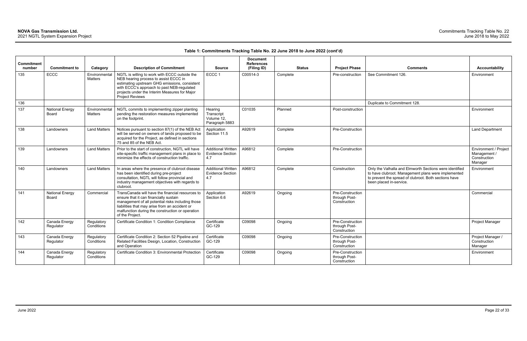| <b>Commitment</b><br>number | <b>Commitment to</b>            | Category                        | <b>Description of Commitment</b>                                                                                                                                                                                                                                         | <b>Source</b>                                               | <b>Document</b><br><b>References</b><br>(Filing ID) | <b>Status</b> | <b>Project Phase</b>                              | <b>Comments</b>                                                                                                                                                                                    | <b>Accountability</b>                                            |
|-----------------------------|---------------------------------|---------------------------------|--------------------------------------------------------------------------------------------------------------------------------------------------------------------------------------------------------------------------------------------------------------------------|-------------------------------------------------------------|-----------------------------------------------------|---------------|---------------------------------------------------|----------------------------------------------------------------------------------------------------------------------------------------------------------------------------------------------------|------------------------------------------------------------------|
| 135                         | <b>ECCC</b>                     | Environmental<br>Matters        | NGTL is willing to work with ECCC outside the<br>NEB hearing process to assist ECCC in<br>estimating upstream GHG emissions, consistent<br>with ECCC's approach to past NEB-regulated<br>projects under the Interim Measures for Major<br><b>Project Reviews</b>         | ECCC <sub>1</sub>                                           | C00514-3                                            | Complete      | Pre-construction                                  | See Commitment 126.                                                                                                                                                                                | Environment                                                      |
| 136                         |                                 |                                 |                                                                                                                                                                                                                                                                          |                                                             |                                                     |               |                                                   | Duplicate to Commitment 128.                                                                                                                                                                       |                                                                  |
| 137                         | <b>National Energy</b><br>Board | Environmental<br><b>Matters</b> | NGTL commits to implementing zipper planting<br>pending the restoration measures implemented<br>on the footprint.                                                                                                                                                        | Hearing<br>Transcript<br>Volume 12,<br>Paragraph 5883       | C01035                                              | Planned       | Post-construction                                 |                                                                                                                                                                                                    | Environment                                                      |
| 138                         | Landowners                      | <b>Land Matters</b>             | Notices pursuant to section 87(1) of the NEB Act<br>will be served on owners of lands proposed to be<br>acquired for the Project, as defined in sections<br>75 and 85 of the NEB Act.                                                                                    | Application<br>Section 11.5                                 | A92619                                              | Complete      | <b>Pre-Construction</b>                           |                                                                                                                                                                                                    | <b>Land Department</b>                                           |
| 139                         | Landowners                      | <b>Land Matters</b>             | Prior to the start of construction, NGTL will have<br>site-specific traffic management plans in place to<br>minimize the effects of construction traffic.                                                                                                                | <b>Additional Written</b><br><b>Evidence Section</b><br>4.7 | A96812                                              | Complete      | Pre-Construction                                  |                                                                                                                                                                                                    | Environment / Project<br>Management /<br>Construction<br>Manager |
| 140                         | Landowners                      | <b>Land Matters</b>             | In areas where the presence of clubroot disease<br>has been identified during pre-project<br>consultation, NGTL will follow provincial and<br>industry management objectives with regards to<br>clubroot.                                                                | <b>Additional Written</b><br><b>Evidence Section</b><br>4.7 | A96812                                              | Complete      | Construction                                      | Only the Valhalla and Elmworth Sections were identified<br>to have clubroot. Management plans were implemented<br>to prevent the spread of clubroot. Both sections have<br>been placed in-service. | Environment                                                      |
| 141                         | <b>National Energy</b><br>Board | Commercial                      | TransCanada will have the financial resources to<br>ensure that it can financially sustain<br>management of all potential risks including those<br>liabilities that may arise from an accident or<br>malfunction during the construction or operation<br>of the Project. | Application<br>Section 6.6                                  | A92619                                              | Ongoing       | Pre-Construction<br>through Post-<br>Construction |                                                                                                                                                                                                    | Commercial                                                       |
| 142                         | Canada Energy<br>Regulator      | Regulatory<br>Conditions        | Certificate Condition 1: Condition Compliance                                                                                                                                                                                                                            | Certificate<br>GC-129                                       | C09098                                              | Ongoing       | Pre-Construction<br>through Post-<br>Construction |                                                                                                                                                                                                    | <b>Project Manager</b>                                           |
| 143                         | Canada Energy<br>Regulator      | Regulatory<br>Conditions        | Certificate Condition 2: Section 52 Pipeline and<br>Related Facilities Design, Location, Construction<br>and Operation                                                                                                                                                   | Certificate<br>GC-129                                       | C09098                                              | Ongoing       | Pre-Construction<br>through Post-<br>Construction |                                                                                                                                                                                                    | Project Manager /<br>Construction<br>Manager                     |
| 144                         | Canada Energy<br>Regulator      | Regulatory<br>Conditions        | Certificate Condition 3: Environmental Protection                                                                                                                                                                                                                        | Certificate<br>GC-129                                       | C09098                                              | Ongoing       | Pre-Construction<br>through Post-<br>Construction |                                                                                                                                                                                                    | Environment                                                      |

| <b>Comments</b>                                                                                                                                                                                    | <b>Accountability</b>                                            |
|----------------------------------------------------------------------------------------------------------------------------------------------------------------------------------------------------|------------------------------------------------------------------|
|                                                                                                                                                                                                    |                                                                  |
| See Commitment 126.                                                                                                                                                                                | Environment                                                      |
| Duplicate to Commitment 128.                                                                                                                                                                       |                                                                  |
|                                                                                                                                                                                                    | Environment                                                      |
|                                                                                                                                                                                                    | Land Department                                                  |
|                                                                                                                                                                                                    | Environment / Project<br>Management /<br>Construction<br>Manager |
| Only the Valhalla and Elmworth Sections were identified<br>to have clubroot. Management plans were implemented<br>to prevent the spread of clubroot. Both sections have<br>been placed in-service. | Environment                                                      |
|                                                                                                                                                                                                    | Commercial                                                       |
|                                                                                                                                                                                                    | Project Manager                                                  |
|                                                                                                                                                                                                    | Project Manager /<br>Construction<br>Manager                     |
|                                                                                                                                                                                                    | Environment                                                      |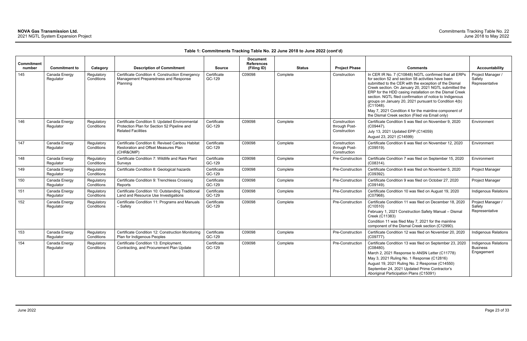| <b>Commitment</b> |                            |                          |                                                                                                                            |                       | <b>Document</b><br><b>References</b> |               |                                               |                                                                                                                                                                                                                                                                                                                                                                                                                                                                                                                                           |                                                       |
|-------------------|----------------------------|--------------------------|----------------------------------------------------------------------------------------------------------------------------|-----------------------|--------------------------------------|---------------|-----------------------------------------------|-------------------------------------------------------------------------------------------------------------------------------------------------------------------------------------------------------------------------------------------------------------------------------------------------------------------------------------------------------------------------------------------------------------------------------------------------------------------------------------------------------------------------------------------|-------------------------------------------------------|
| number            | <b>Commitment to</b>       | Category                 | <b>Description of Commitment</b>                                                                                           | <b>Source</b>         | (Filing ID)                          | <b>Status</b> | <b>Project Phase</b>                          | <b>Comments</b>                                                                                                                                                                                                                                                                                                                                                                                                                                                                                                                           | <b>Accountability</b>                                 |
| 145               | Canada Energy<br>Regulator | Regulatory<br>Conditions | Certificate Condition 4: Construction Emergency<br>Management Preparedness and Response<br>Planning                        | Certificate<br>GC-129 | C09098                               | Complete      | Construction                                  | In CER IR No. 7 (C10848) NGTL confirmed that all ERPs<br>for section 52 and section 58 activities have been<br>submitted to the CER with the exception of the Dismal<br>Creek section. On January 20, 2021 NGTL submitted the<br>ERP for the HDD casing installation on the Dismal Creek<br>section. NGTL filed confirmation of notice to Indigenous<br>groups on January 20, 2021 pursuant to Condition 4(b)<br>$(C11048)$ .<br>May 7, 2021 Condition 4 for the mainline component of<br>the Dismal Creek section (Filed via Email only) | Project Manager /<br>Safety<br>Representative         |
| 146               | Canada Energy<br>Regulator | Regulatory<br>Conditions | Certificate Condition 5: Updated Environmental<br>Protection Plan for Section 52 Pipeline and<br><b>Related Facilities</b> | Certificate<br>GC-129 | C09098                               | Complete      | Construction<br>through Post-<br>Construction | Certificate Condition 5 was filed on November 9, 2020<br>$(C09447)$ .<br>July 13, 2021 Updated EPP (C14059)<br>August 23, 2021 (C14599)                                                                                                                                                                                                                                                                                                                                                                                                   | Environment                                           |
| 147               | Canada Energy<br>Regulator | Regulatory<br>Conditions | Certificate Condition 6: Revised Caribou Habitat<br>Restoration and Offset Measures Plan<br>(CHR&OMP)                      | Certificate<br>GC-129 | C09098                               | Complete      | Construction<br>through Post-<br>Construction | Certificate Condition 6 was filed on November 12, 2020<br>(C09519).                                                                                                                                                                                                                                                                                                                                                                                                                                                                       | Environment                                           |
| 148               | Canada Energy<br>Regulator | Regulatory<br>Conditions | Certificate Condition 7: Wildlife and Rare Plant<br>Surveys                                                                | Certificate<br>GC-129 | C09098                               | Complete      | Pre-Construction                              | Certificate Condition 7 was filed on September 15, 2020<br>$(C08314)$ .                                                                                                                                                                                                                                                                                                                                                                                                                                                                   | Environment                                           |
| 149               | Canada Energy<br>Regulator | Regulatory<br>Conditions | Certificate Condition 8: Geological hazards                                                                                | Certificate<br>GC-129 | C09098                               | Complete      | Pre-Construction                              | Certificate Condition 8 was filed on November 5, 2020<br>(C09392).                                                                                                                                                                                                                                                                                                                                                                                                                                                                        | Project Manager                                       |
| 150               | Canada Energy<br>Regulator | Regulatory<br>Conditions | Certificate Condition 9: Trenchless Crossing<br>Reports                                                                    | Certificate<br>GC-129 | C09098                               | Complete      | Pre-Construction                              | Certificate Condition 9 was filed on October 27, 2020<br>(C09149).                                                                                                                                                                                                                                                                                                                                                                                                                                                                        | Project Manager                                       |
| 151               | Canada Energy<br>Regulator | Regulatory<br>Conditions | Certificate Condition 10: Outstanding Traditional<br>Land and Resource Use Investigations                                  | Certificate<br>GC-129 | C09098                               | Complete      | Pre-Construction                              | Certificate Condition 10 was filed on August 19, 2020<br>(C07968).                                                                                                                                                                                                                                                                                                                                                                                                                                                                        | <b>Indigenous Relations</b>                           |
| 152               | Canada Energy<br>Regulator | Regulatory<br>Conditions | Certificate Condition 11: Programs and Manuals<br>– Safety                                                                 | Certificate<br>GC-129 | C09098                               | Complete      | Pre-Construction                              | Certificate Condition 11 was filed on December 18, 2020<br>(C10510)<br>February 1, 2021 Construction Safety Manual - Dismal<br>Creek (C11383)<br>Condition 11 was filed May 7, 2021 for the mainline<br>component of the Dismal Creek section (C12990).                                                                                                                                                                                                                                                                                   | Project Manager /<br>Safety<br>Representative         |
| 153               | Canada Energy<br>Regulator | Regulatory<br>Conditions | Certificate Condition 12: Construction Monitoring<br>Plan for Indigenous Peoples                                           | Certificate<br>GC-129 | C09098                               | Complete      | Pre-Construction                              | Certificate Condition 12 was filed on November 20, 2020<br>(C09777).                                                                                                                                                                                                                                                                                                                                                                                                                                                                      | <b>Indigenous Relations</b>                           |
| 154               | Canada Energy<br>Regulator | Regulatory<br>Conditions | Certificate Condition 13: Employment,<br>Contracting, and Procurement Plan Update                                          | Certificate<br>GC-129 | C09098                               | Complete      | Pre-Construction                              | Certificate Condition 13 was filed on September 23, 2020<br>$(C08480)$ .<br>March 2, 2021 Response to ANSN Letter (C11778)<br>May 3, 2021 Ruling No. 1 Response (C12816)<br>August 19, 2021 Ruling No. 2 Response (C14550)<br>September 24, 2021 Updated Prime Contractor's<br>Aboriginal Participation Plans (C15091)                                                                                                                                                                                                                    | Indigenous Relations<br><b>Business</b><br>Engagement |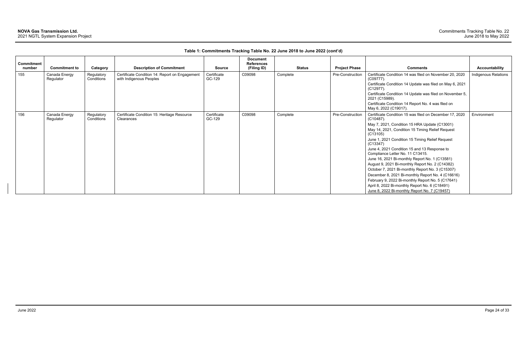| <b>Commitment</b><br>number | <b>Commitment to</b>       | Category                 | <b>Description of Commitment</b>                                          | <b>Source</b>         | <b>Document</b><br><b>References</b><br>(Filing ID) | <b>Status</b> | <b>Project Phase</b> | <b>Comments</b>                                                                                                                                                                                                                                                                                                                                                                                                                                                                                                                                                                                                                                                                                                   | Accountability       |
|-----------------------------|----------------------------|--------------------------|---------------------------------------------------------------------------|-----------------------|-----------------------------------------------------|---------------|----------------------|-------------------------------------------------------------------------------------------------------------------------------------------------------------------------------------------------------------------------------------------------------------------------------------------------------------------------------------------------------------------------------------------------------------------------------------------------------------------------------------------------------------------------------------------------------------------------------------------------------------------------------------------------------------------------------------------------------------------|----------------------|
| 155                         | Canada Energy<br>Regulator | Regulatory<br>Conditions | Certificate Condition 14: Report on Engagement<br>with Indigenous Peoples | Certificate<br>GC-129 | C09098                                              | Complete      | Pre-Construction     | Certificate Condition 14 was filed on November 20, 2020<br>$(C09777)$ .<br>Certificate Condition 14 Update was filed on May 6, 2021<br>$(C12977)$ .<br>Certificate Condition 14 Update was filed on November 5,<br>2021 (C15989).<br>Certificate Condition 14 Report No. 4 was filed on<br>May 6, 2022 (C19017).                                                                                                                                                                                                                                                                                                                                                                                                  | Indigenous Relations |
| 156                         | Canada Energy<br>Regulator | Regulatory<br>Conditions | Certificate Condition 15: Heritage Resource<br>Clearances                 | Certificate<br>GC-129 | C09098                                              | Complete      | Pre-Construction     | Certificate Condition 15 was filed on December 17, 2020<br>$(C10487)$ .<br>May 7, 2021, Condition 15 HRA Update (C13001)<br>May 14, 2021, Condition 15 Timing Relief Request<br>(C13105)<br>June 1, 2021 Condition 15 Timing Relief Request<br>(C13347)<br>June 4, 2021 Condition 15 and 13 Response to<br>Compliance Letter No. 11 C13415.<br>June 16, 2021 Bi-monthly Report No. 1 (C13581)<br>August 9, 2021 Bi-monthly Report No. 2 (C14382)<br>October 7, 2021 Bi-monthly Report No. 3 (C15307)<br>December 8, 2021 Bi-monthly Report No. 4 (C16616)<br>February 9, 2022 Bi-monthly Report No. 5 (C17641)<br>April 8, 2022 Bi-monthly Report No. 6 (C18491)<br>June 8, 2022 Bi-monthly Report No. 7 (C19457) | Environment          |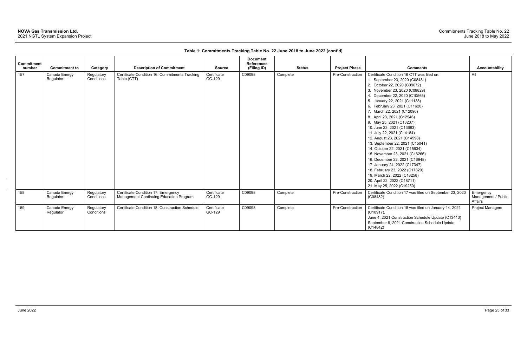| <b>Commitment</b> |                            |                          |                                                                                |                       | <b>Document</b><br><b>References</b> |               |                      |                                                                                                                                                                                                                                                                                                                                                                                                                                                                                                                                                                                                                                                                                                              |                                             |
|-------------------|----------------------------|--------------------------|--------------------------------------------------------------------------------|-----------------------|--------------------------------------|---------------|----------------------|--------------------------------------------------------------------------------------------------------------------------------------------------------------------------------------------------------------------------------------------------------------------------------------------------------------------------------------------------------------------------------------------------------------------------------------------------------------------------------------------------------------------------------------------------------------------------------------------------------------------------------------------------------------------------------------------------------------|---------------------------------------------|
| number            | <b>Commitment to</b>       | Category                 | <b>Description of Commitment</b>                                               | <b>Source</b>         | (Filing ID)                          | <b>Status</b> | <b>Project Phase</b> | <b>Comments</b>                                                                                                                                                                                                                                                                                                                                                                                                                                                                                                                                                                                                                                                                                              | <b>Accountability</b>                       |
| 157               | Canada Energy<br>Regulator | Regulatory<br>Conditions | Certificate Condition 16: Commitments Tracking<br>Table (CTT)                  | Certificate<br>GC-129 | C09098                               | Complete      | Pre-Construction     | Certificate Condition 16 CTT was filed on:<br>1. September 23, 2020 (C08481)<br>2. October 22, 2020 (C09072)<br>3. November 23, 2020 (C09829)<br>4. December 22, 2020 (C10565)<br>5. January 22, 2021 (C11138)<br>6. February 23, 2021 (C11620)<br>7. March 22, 2021 (C12090)<br>8. April 23, 2021 (C12546)<br>9. May 25, 2021 (C13237)<br>10. June 23, 2021 (C13683)<br>11. July 22, 2021 (C14184)<br>12. August 23, 2021 (C14598)<br>13. September 22, 2021 (C15041)<br>14. October 22, 2021 (C15634)<br>15. November 23, 2021 (C16266)<br>16. December 22, 2021 (C16948)<br>17. January 24, 2022 (C17347)<br>18. February 23, 2022 (C17829)<br>19. March 22, 2022 (C18258)<br>20. April 22, 2022 (C18711) | All                                         |
|                   |                            |                          |                                                                                |                       |                                      |               |                      | 21. May 25, 2022 (C19250)                                                                                                                                                                                                                                                                                                                                                                                                                                                                                                                                                                                                                                                                                    |                                             |
| 158               | Canada Energy<br>Regulator | Regulatory<br>Conditions | Certificate Condition 17: Emergency<br>Management Continuing Education Program | Certificate<br>GC-129 | C09098                               | Complete      | Pre-Construction     | Certificate Condition 17 was filed on September 23, 2020<br>(C08482).                                                                                                                                                                                                                                                                                                                                                                                                                                                                                                                                                                                                                                        | Emergency<br>Management / Public<br>Affairs |
| 159               | Canada Energy<br>Regulator | Regulatory<br>Conditions | Certificate Condition 18: Construction Schedule                                | Certificate<br>GC-129 | C09098                               | Complete      | Pre-Construction     | Certificate Condition 18 was filed on January 14, 2021<br>(C10917).<br>June 4, 2021 Construction Schedule Update (C13413)<br>September 8, 2021 Construction Schedule Update<br>(C14842)                                                                                                                                                                                                                                                                                                                                                                                                                                                                                                                      | <b>Project Managers</b>                     |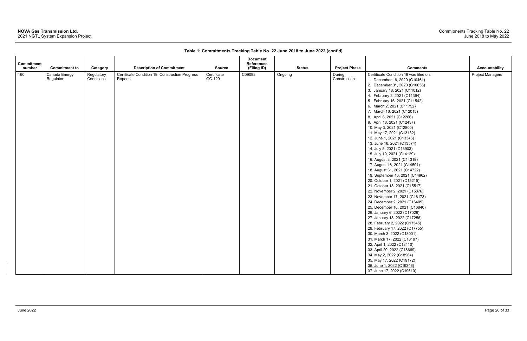### **NOVA Gas Transmission Ltd.**

2021 NGTL System Expansion Project

| Commitment |                            |                          |                                                            |                       | <b>Document</b><br><b>References</b> |               |                        |                                                                                                                                                                                                                                                                                                                                                                                                                                                                                                                                                                                                                                                                                                                                                                                                                                                                                                                                                                                                                                                                                                                                                                                                             |                         |
|------------|----------------------------|--------------------------|------------------------------------------------------------|-----------------------|--------------------------------------|---------------|------------------------|-------------------------------------------------------------------------------------------------------------------------------------------------------------------------------------------------------------------------------------------------------------------------------------------------------------------------------------------------------------------------------------------------------------------------------------------------------------------------------------------------------------------------------------------------------------------------------------------------------------------------------------------------------------------------------------------------------------------------------------------------------------------------------------------------------------------------------------------------------------------------------------------------------------------------------------------------------------------------------------------------------------------------------------------------------------------------------------------------------------------------------------------------------------------------------------------------------------|-------------------------|
| number     | <b>Commitment to</b>       | Category                 | <b>Description of Commitment</b>                           | <b>Source</b>         | (Filing ID)                          | <b>Status</b> | <b>Project Phase</b>   | <b>Comments</b>                                                                                                                                                                                                                                                                                                                                                                                                                                                                                                                                                                                                                                                                                                                                                                                                                                                                                                                                                                                                                                                                                                                                                                                             | <b>Accountability</b>   |
| 160        | Canada Energy<br>Regulator | Regulatory<br>Conditions | Certificate Condition 19: Construction Progress<br>Reports | Certificate<br>GC-129 | C09098                               | Ongoing       | During<br>Construction | Certificate Condition 19 was filed on:<br>1. December 16, 2020 (C10461)<br>2. December 31, 2020 (C10655)<br>3. January 18, 2021 (C11012)<br>4. February 2, 2021 (C11394)<br>5. February 16, 2021 (C11542)<br>6. March 2, 2021 (C11752)<br>7. March 16, 2021 (C12015)<br>8. April 6, 2021 (C12266)<br>9. April 18, 2021 (C12437)<br>10. May 3, 2021 (C12800)<br>11. May 17, 2021 (C13132)<br>12. June 1, 2021 (C13346)<br>13. June 16, 2021 (C13574)<br>14. July 5, 2021 (C13903)<br>15. July 19, 2021 (C14129)<br>16. August 3, 2021 (C14319)<br>17. August 16, 2021 (C14501)<br>18. August 31, 2021 (C14722)<br>19. September 16, 2021 (C14962)<br>20. October 1, 2021 (C15215)<br>21. October 18, 2021 (C15517)<br>22. November 2, 2021 (C15876)<br>23. November 17, 2021 (C16173)<br>24. December 2, 2021 (C16409)<br>25. December 16, 2021 (C16840)<br>26. January 6, 2022 (C17029)<br>27. January 18, 2022 (C17256)<br>28. February 2, 2022 (C17545)<br>29. February 17, 2022 (C17755)<br>30. March 3, 2022 (C18001)<br>31. March 17, 2022 (C18197)<br>32. April 1, 2022 (C18410)<br>33. April 20, 2022 (C18669)<br>34. May 2, 2022 (C18964)<br>35. May 17, 2022 (C19172)<br>36. June 1, 2022 (C19346) | <b>Project Managers</b> |
|            |                            |                          |                                                            |                       |                                      |               |                        | 37. June 17, 2022 (C19610)                                                                                                                                                                                                                                                                                                                                                                                                                                                                                                                                                                                                                                                                                                                                                                                                                                                                                                                                                                                                                                                                                                                                                                                  |                         |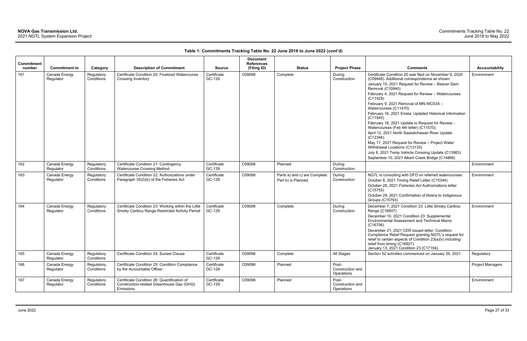| Commitment |                            |                          |                                                                                                       |                       | <b>Document</b><br><b>References</b> |                                                      |                                         |                                                                                                                                                                                                                                                                                                   |                       |
|------------|----------------------------|--------------------------|-------------------------------------------------------------------------------------------------------|-----------------------|--------------------------------------|------------------------------------------------------|-----------------------------------------|---------------------------------------------------------------------------------------------------------------------------------------------------------------------------------------------------------------------------------------------------------------------------------------------------|-----------------------|
| number     | <b>Commitment to</b>       | Category                 | <b>Description of Commitment</b>                                                                      | <b>Source</b>         | (Filing ID)                          | <b>Status</b>                                        | <b>Project Phase</b>                    | <b>Comments</b>                                                                                                                                                                                                                                                                                   | <b>Accountability</b> |
| 161        | Canada Energy<br>Regulator | Regulatory<br>Conditions | Certificate Condition 20: Finalized Watercourse<br>Crossing Inventory                                 | Certificate<br>GC-129 | C09098                               | Complete                                             | During<br>Construction                  | Certificate Condition 20 was filed on November 9, 2020<br>(C09448). Additional correspondence as shown:<br>January 15, 2021 Request for Review - Beaver Dam<br>Removal (C10940)<br>February 4, 2021 Request for Review - Watercourses<br>(C11429)                                                 | Environment           |
|            |                            |                          |                                                                                                       |                       |                                      |                                                      |                                         | February 9, 2021 Removal of MN-WC03A -<br>Watercourses (C11470)                                                                                                                                                                                                                                   |                       |
|            |                            |                          |                                                                                                       |                       |                                      |                                                      |                                         | February 16, 2021 Errata: Updated Historical Information<br>(C11540)                                                                                                                                                                                                                              |                       |
|            |                            |                          |                                                                                                       |                       |                                      |                                                      |                                         | February 18, 2021 Update to Request for Review -<br>Watercourses (Feb 4th letter) (C11570).                                                                                                                                                                                                       |                       |
|            |                            |                          |                                                                                                       |                       |                                      |                                                      |                                         | April 12, 2021 North Saskatchewan River Update<br>$(C12346)$ .<br>May 17, 2021 Request for Review - Project Water                                                                                                                                                                                 |                       |
|            |                            |                          |                                                                                                       |                       |                                      |                                                      |                                         | Withdrawal Locations (C13133)<br>July 8, 2021 Temp Vehicle Crossing Update (C13983)                                                                                                                                                                                                               |                       |
|            |                            |                          |                                                                                                       |                       |                                      |                                                      |                                         | September 10, 2021 Albert Creek Bridge (C14866)                                                                                                                                                                                                                                                   |                       |
| 162        | Canada Energy<br>Regulator | Regulatory<br>Conditions | Certificate Condition 21: Contingency<br><b>Watercourse Crossing Method</b>                           | Certificate<br>GC-129 | C09098                               | Planned                                              | During<br>Construction                  |                                                                                                                                                                                                                                                                                                   | Environment           |
| 163        | Canada Energy<br>Regulator | Regulatory<br>Conditions | Certificate Condition 22: Authorizations under<br>Paragraph 35(2)(b) of the Fisheries Act             | Certificate<br>GC-129 | C09098                               | Parts a) and c) are Complete.<br>Part b) is Planned. | During<br>Construction                  | NGTL is consulting with DFO on referred watercourses.<br>October 8, 2021 Timing Relief Letter (C15344)<br>October 28, 2021 Fisheries Act Authorizations letter<br>(C15755)<br>October 29, 2021 Confirmation of Notice to Indigenous                                                               | Environment           |
| 164        | Canada Energy              | Regulatory               | Certificate Condition 23: Working within the Little                                                   | Certificate           | C09098                               | Complete                                             | During                                  | <b>Groups (C15793)</b><br>December 7, 2021 Condition 23: Little Smoky Caribou                                                                                                                                                                                                                     | Environment           |
|            | Regulator                  | Conditions               | Smoky Caribou Range Restricted Activity Period                                                        | GC-129                |                                      |                                                      | Construction                            | Range (C16607)<br>December 10, 2021 Condition 23: Supplemental<br>Environmental Assessment and Technical Memo<br>(C16706)<br>December 21, 2021 CER issued letter: Condition<br>Compliance Relief Request granting NGTL's request for<br>relief to certain aspects of Condition 23(a)(v) including |                       |
|            |                            |                          |                                                                                                       |                       |                                      |                                                      |                                         | relief from timing (C16927).<br>January 13, 2021 Condition 23 (C17194).                                                                                                                                                                                                                           |                       |
| 165        | Canada Energy<br>Regulator | Regulatory<br>Conditions | Certificate Condition 24: Sunset Clause                                                               | Certificate<br>GC-129 | C09098                               | Complete                                             | All Stages                              | Section 52 activities commenced on January 29, 2021.                                                                                                                                                                                                                                              | Regulatory            |
| 166        | Canada Energy<br>Regulator | Regulatory<br>Conditions | Certificate Condition 25: Condition Compliance<br>by the Accountable Officer                          | Certificate<br>GC-129 | C09098                               | Planned                                              | Post-<br>Construction and<br>Operations |                                                                                                                                                                                                                                                                                                   | Project Managers      |
| 167        | Canada Energy<br>Regulator | Regulatory<br>Conditions | Certificate Condition 26: Quantification of<br>Construction-related Greenhouse Gas (GHG)<br>Emissions | Certificate<br>GC-129 | C09098                               | Planned                                              | Post-<br>Construction and<br>Operations |                                                                                                                                                                                                                                                                                                   | Environment           |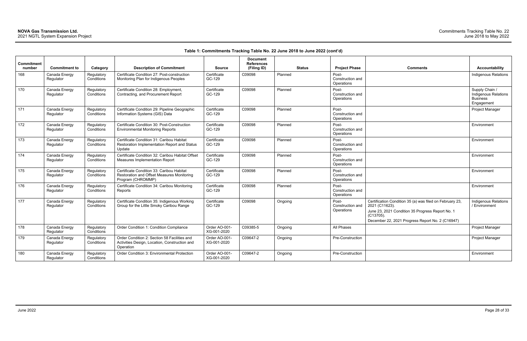| <b>Comments</b>                                                                                                                                                                                 | <b>Accountability</b>                                                   |
|-------------------------------------------------------------------------------------------------------------------------------------------------------------------------------------------------|-------------------------------------------------------------------------|
|                                                                                                                                                                                                 | <b>Indigenous Relations</b>                                             |
|                                                                                                                                                                                                 | Supply Chain /<br>Indigenous Relations<br><b>Business</b><br>Engagement |
|                                                                                                                                                                                                 | Project Manager                                                         |
|                                                                                                                                                                                                 | Environment                                                             |
|                                                                                                                                                                                                 | Environment                                                             |
|                                                                                                                                                                                                 | Environment                                                             |
|                                                                                                                                                                                                 | Environment                                                             |
|                                                                                                                                                                                                 | Environment                                                             |
| Certification Condition 35 (a) was filed on February 23,<br>2021 (C11623).<br>June 23, 2021 Condition 35 Progress Report No. 1<br>(C13705).<br>December 22, 2021 Progress Report No. 2 (C16947) | Indigenous Relations<br>/ Environment                                   |
|                                                                                                                                                                                                 | Project Manager                                                         |
|                                                                                                                                                                                                 | Project Manager                                                         |
|                                                                                                                                                                                                 | Environment                                                             |

| Commitment<br>number | <b>Commitment to</b>       | Category                 | <b>Description of Commitment</b>                                                                             | <b>Source</b>                | <b>Document</b><br><b>References</b><br>(Filing ID) | <b>Status</b> | <b>Project Phase</b>                    | <b>Comments</b>                                                                                                                                                                                    | Accountability                                                        |
|----------------------|----------------------------|--------------------------|--------------------------------------------------------------------------------------------------------------|------------------------------|-----------------------------------------------------|---------------|-----------------------------------------|----------------------------------------------------------------------------------------------------------------------------------------------------------------------------------------------------|-----------------------------------------------------------------------|
| 168                  | Canada Energy<br>Regulator | Regulatory<br>Conditions | Certificate Condition 27: Post-construction<br>Monitoring Plan for Indigenous Peoples                        | Certificate<br>GC-129        | C09098                                              | Planned       | Post-<br>Construction and<br>Operations |                                                                                                                                                                                                    | Indigenous Relatio                                                    |
| 170                  | Canada Energy<br>Regulator | Regulatory<br>Conditions | Certificate Condition 28: Employment,<br>Contracting, and Procurement Report                                 | Certificate<br>GC-129        | C09098                                              | Planned       | Post-<br>Construction and<br>Operations |                                                                                                                                                                                                    | Supply Chain /<br>Indigenous Relatic<br><b>Business</b><br>Engagement |
| 171                  | Canada Energy<br>Regulator | Regulatory<br>Conditions | Certificate Condition 29: Pipeline Geographic<br>Information Systems (GIS) Data                              | Certificate<br>GC-129        | C09098                                              | Planned       | Post-<br>Construction and<br>Operations |                                                                                                                                                                                                    | Project Manager                                                       |
| 172                  | Canada Energy<br>Regulator | Regulatory<br>Conditions | Certificate Condition 30: Post-Construction<br><b>Environmental Monitoring Reports</b>                       | Certificate<br>GC-129        | C09098                                              | Planned       | Post-<br>Construction and<br>Operations |                                                                                                                                                                                                    | Environment                                                           |
| 173                  | Canada Energy<br>Regulator | Regulatory<br>Conditions | Certificate Condition 31: Caribou Habitat<br>Restoration Implementation Report and Status<br>Update          | Certificate<br>GC-129        | C09098                                              | Planned       | Post-<br>Construction and<br>Operations |                                                                                                                                                                                                    | Environment                                                           |
| 174                  | Canada Energy<br>Regulator | Regulatory<br>Conditions | Certificate Condition 32: Caribou Habitat Offset<br>Measures Implementation Report                           | Certificate<br>GC-129        | C09098                                              | Planned       | Post-<br>Construction and<br>Operations |                                                                                                                                                                                                    | Environment                                                           |
| 175                  | Canada Energy<br>Regulator | Regulatory<br>Conditions | Certificate Condition 33: Caribou Habitat<br>Restoration and Offset Measures Monitoring<br>Program (CHROMMP) | Certificate<br>GC-129        | C09098                                              | Planned       | Post-<br>Construction and<br>Operations |                                                                                                                                                                                                    | Environment                                                           |
| 176                  | Canada Energy<br>Regulator | Regulatory<br>Conditions | Certificate Condition 34: Caribou Monitoring<br>Reports                                                      | Certificate<br>GC-129        | C09098                                              | Planned       | Post-<br>Construction and<br>Operations |                                                                                                                                                                                                    | Environment                                                           |
| 177                  | Canada Energy<br>Regulator | Regulatory<br>Conditions | Certificate Condition 35: Indigenous Working<br>Group for the Little Smoky Caribou Range                     | Certificate<br>GC-129        | C09098                                              | Ongoing       | Post-<br>Construction and<br>Operations | Certification Condition 35 (a) was filed on February 23,<br>2021 (C11623).<br>June 23, 2021 Condition 35 Progress Report No. 1<br>$(C13705)$ .<br>December 22, 2021 Progress Report No. 2 (C16947) | Indigenous Relatio<br>/ Environment                                   |
| 178                  | Canada Energy<br>Regulator | Regulatory<br>Conditions | Order Condition 1: Condition Compliance                                                                      | Order AO-001-<br>XG-001-2020 | C09385-5                                            | Ongoing       | All Phases                              |                                                                                                                                                                                                    | Project Manager                                                       |
| 179                  | Canada Energy<br>Regulator | Regulatory<br>Conditions | Order Condition 2: Section 58 Facilities and<br>Activities Design, Location, Construction and<br>Operation   | Order AO-001-<br>XG-001-2020 | C09647-2                                            | Ongoing       | Pre-Construction                        |                                                                                                                                                                                                    | Project Manager                                                       |
| 180                  | Canada Energy<br>Regulator | Regulatory<br>Conditions | Order Condition 3: Environmental Protection                                                                  | Order AO-001-<br>XG-001-2020 | C09647-2                                            | Ongoing       | Pre-Construction                        |                                                                                                                                                                                                    | Environment                                                           |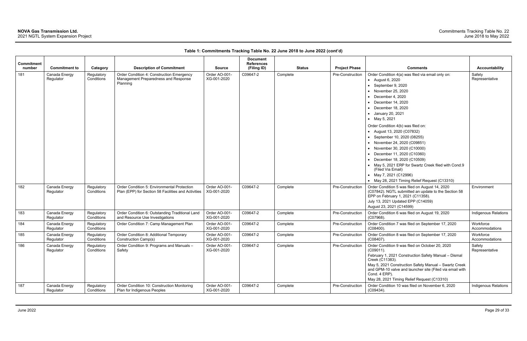| Commitment |                            |                          |                                                                                                    |                              | <b>Document</b><br><b>References</b> |               |                      |                                                                                                                                                                                                                                                                                                                                                                                                                                                                                                                                                                                                                    |                             |
|------------|----------------------------|--------------------------|----------------------------------------------------------------------------------------------------|------------------------------|--------------------------------------|---------------|----------------------|--------------------------------------------------------------------------------------------------------------------------------------------------------------------------------------------------------------------------------------------------------------------------------------------------------------------------------------------------------------------------------------------------------------------------------------------------------------------------------------------------------------------------------------------------------------------------------------------------------------------|-----------------------------|
| number     | <b>Commitment to</b>       | Category                 | <b>Description of Commitment</b>                                                                   | <b>Source</b>                | (Filing ID)                          | <b>Status</b> | <b>Project Phase</b> | <b>Comments</b>                                                                                                                                                                                                                                                                                                                                                                                                                                                                                                                                                                                                    | <b>Accountability</b>       |
| 181        | Canada Energy<br>Regulator | Regulatory<br>Conditions | Order Condition 4: Construction Emergency<br>Management Preparedness and Response<br>Planning      | Order AO-001-<br>XG-001-2020 | C09647-2                             | Complete      | Pre-Construction     | Order Condition 4(a) was filed via email only on:<br>• August 6, 2020<br>• September 9, 2020<br>• November 25, 2020<br>December 4, 2020<br>December 14, 2020<br>December 18, 2020<br>• January 20, 2021<br>• May 5, 2021<br>Order Condition 4(b) was filed on:<br>• August 13, 2020 (C07832)<br>• September 10, 2020 (08255)<br>• November 24, 2020 (C09851)<br>• November 30, 2020 (C10000)<br>December 11, 2020 (C10360)<br>• December 18, 2020 (C10509)<br>• May 5, 2021 ERP for Swartz Creek filed with Cond.9<br>(Filed Via Email)<br>• May 7, 2021 (C12996)<br>• May 28, 2021 Timing Relief Request (C13310) | Safety<br>Representative    |
| 182        | Canada Energy<br>Regulator | Regulatory<br>Conditions | Order Condition 5: Environmental Protection<br>Plan (EPP) for Section 58 Facilities and Activities | Order AO-001-<br>XG-001-2020 | C09647-2                             | Complete      | Pre-Construction     | Order Condition 5 was filed on August 14, 2020<br>(C07842). NGTL submitted an update to the Section 58<br>EPP on February 1, 2021 (C11358).<br>July 13, 2021 Updated EPP (C14059)<br>August 23, 2021 (C14599)                                                                                                                                                                                                                                                                                                                                                                                                      | Environment                 |
| 183        | Canada Energy<br>Regulator | Regulatory<br>Conditions | Order Condition 6: Outstanding Traditional Land<br>and Resource Use Investigations                 | Order AO-001-<br>XG-001-2020 | C09647-2                             | Complete      | Pre-Construction     | Order Condition 6 was filed on August 19, 2020<br>(C07968).                                                                                                                                                                                                                                                                                                                                                                                                                                                                                                                                                        | <b>Indigenous Relations</b> |
| 184        | Canada Energy<br>Regulator | Regulatory<br>Conditions | Order Condition 7: Camp Management Plan                                                            | Order AO-001-<br>XG-001-2020 | C09647-2                             | Complete      | Pre-Construction     | Order Condition 7 was filed on September 17, 2020<br>$(C08400)$ .                                                                                                                                                                                                                                                                                                                                                                                                                                                                                                                                                  | Workforce<br>Accommodations |
| 185        | Canada Energy<br>Regulator | Regulatory<br>Conditions | Order Condition 8: Additional Temporary<br>Construction Camp(s)                                    | Order AO-001-<br>XG-001-2020 | C09647-2                             | Complete      | Pre-Construction     | Order Condition 8 was filed on September 17, 2020<br>(C08407).                                                                                                                                                                                                                                                                                                                                                                                                                                                                                                                                                     | Workforce<br>Accommodations |
| 186        | Canada Energy<br>Regulator | Regulatory<br>Conditions | Order Condition 9: Programs and Manuals -<br>Safety                                                | Order AO-001-<br>XG-001-2020 | C09647-2                             | Complete      | Pre-Construction     | Order Condition 9 was filed on October 20, 2020<br>(C09011).<br>February 1, 2021 Construction Safety Manual - Dismal<br>Creek (C11383).<br>May 5, 2021 Construction Safety Manual - Swartz Creek<br>and GPM-10 valve and launcher site (Filed via email with<br>Cond. 4 ERP).<br>May 28, 2021 Timing Relief Request (C13310)                                                                                                                                                                                                                                                                                       | Safety<br>Representative    |
| 187        | Canada Energy<br>Regulator | Regulatory<br>Conditions | Order Condition 10: Construction Monitoring<br>Plan for Indigenous Peoples                         | Order AO-001-<br>XG-001-2020 | C09647-2                             | Complete      | Pre-Construction     | Order Condition 10 was filed on November 6, 2020<br>(C09434).                                                                                                                                                                                                                                                                                                                                                                                                                                                                                                                                                      | Indigenous Relations        |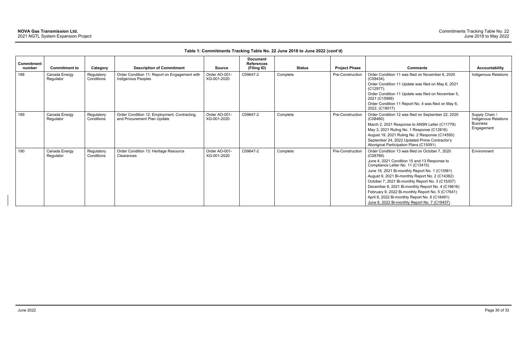| Commitment<br>number | <b>Commitment to</b>       | Category                 | <b>Description of Commitment</b>                                            | <b>Source</b>                | <b>Document</b><br><b>References</b><br>(Filing ID) | <b>Status</b> | <b>Project Phase</b> | <b>Comments</b>                                                                                                                                                                                                                                                                                                                                                                                                                                                                                                        | <b>Accountability</b>                                                   |
|----------------------|----------------------------|--------------------------|-----------------------------------------------------------------------------|------------------------------|-----------------------------------------------------|---------------|----------------------|------------------------------------------------------------------------------------------------------------------------------------------------------------------------------------------------------------------------------------------------------------------------------------------------------------------------------------------------------------------------------------------------------------------------------------------------------------------------------------------------------------------------|-------------------------------------------------------------------------|
| 188                  | Canada Energy<br>Regulator | Regulatory<br>Conditions | Order Condition 11: Report on Engagement with<br>Indigenous Peoples         | Order AO-001-<br>XG-001-2020 | C09647-2                                            | Complete      | Pre-Construction     | Order Condition 11 was filed on November 6, 2020<br>$(C09434)$ .<br>Order Condition 11 Update was filed on May 6, 2021<br>(C12977).<br>Order Condition 11 Update was filed on November 5,<br>2021 (C15989)<br>Order Condition 11 Report No. 4 was filed on May 6,<br>2022, (C19017)                                                                                                                                                                                                                                    | Indigenous Relations                                                    |
| 189                  | Canada Energy<br>Regulator | Regulatory<br>Conditions | Order Condition 12: Employment, Contracting,<br>and Procurement Plan Update | Order AO-001-<br>XG-001-2020 | C09647-2                                            | Complete      | Pre-Construction     | Order Condition 12 was filed on September 22, 2020<br>(C08480)<br>March 2, 2021 Response to ANSN Letter (C11778)<br>May 3, 2021 Ruling No. 1 Response (C12816)<br>August 19, 2021 Ruling No. 2 Response (C14550)<br>September 24, 2022 Updated Prime Contractor's<br>Aboriginal Participation Plans (C15091)                                                                                                                                                                                                           | Supply Chain /<br>Indigenous Relations<br><b>Business</b><br>Engagement |
| 190                  | Canada Energy<br>Regulator | Regulatory<br>Conditions | Order Condition 13: Heritage Resource<br>Clearances                         | Order AO-001-<br>XG-001-2020 | C09647-2                                            | Complete      | Pre-Construction     | Order Condition 13 was filed on October 7, 2020<br>(C08789)<br>June 4, 2021 Condition 15 and 13 Response to<br>Compliance Letter No. 11 (C13415)<br>June 16, 2021 Bi-monthly Report No. 1 (C13581)<br>August 9, 2021 Bi-monthly Report No. 2 (C14382)<br>October 7, 2021 Bi-monthly Report No. 3 (C15307)<br>December 8, 2021 Bi-monthly Report No. 4 (C16616)<br>February 9, 2022 Bi-monthly Report No. 5 (C17641)<br>April 8, 2022 Bi-monthly Report No. 6 (C18491)<br>June 8, 2022 Bi-monthly Report No. 7 (C19457) | Environment                                                             |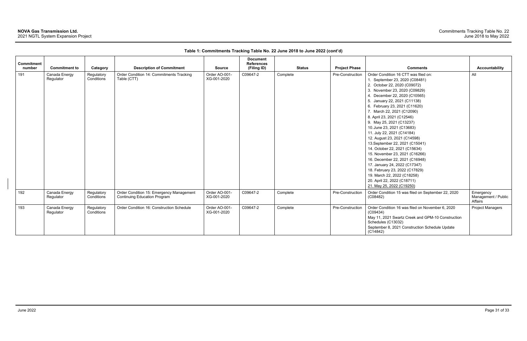| <b>Commitment</b> |                            |                          |                                                                                 |                              | <b>Document</b><br><b>References</b> |               |                      |                                                                         |                                             |
|-------------------|----------------------------|--------------------------|---------------------------------------------------------------------------------|------------------------------|--------------------------------------|---------------|----------------------|-------------------------------------------------------------------------|---------------------------------------------|
| number            | <b>Commitment to</b>       | Category                 | <b>Description of Commitment</b>                                                | <b>Source</b>                | (Filing ID)                          | <b>Status</b> | <b>Project Phase</b> | <b>Comments</b>                                                         | <b>Accountability</b>                       |
| 191               | Canada Energy              | Regulatory               | Order Condition 14: Commitments Tracking                                        | Order AO-001-                | C09647-2                             | Complete      | Pre-Construction     | Order Condition 16 CTT was filed on:                                    | All                                         |
|                   | Regulator                  | Conditions               | Table (CTT)                                                                     | XG-001-2020                  |                                      |               |                      | 1. September 23, 2020 (C08481)                                          |                                             |
|                   |                            |                          |                                                                                 |                              |                                      |               |                      | 2. October 22, 2020 (C09072)                                            |                                             |
|                   |                            |                          |                                                                                 |                              |                                      |               |                      | 3. November 23, 2020 (C09829)                                           |                                             |
|                   |                            |                          |                                                                                 |                              |                                      |               |                      | 4. December 22, 2020 (C10565)                                           |                                             |
|                   |                            |                          |                                                                                 |                              |                                      |               |                      | 5. January 22, 2021 (C11138)                                            |                                             |
|                   |                            |                          |                                                                                 |                              |                                      |               |                      | 6. February 23, 2021 (C11620)                                           |                                             |
|                   |                            |                          |                                                                                 |                              |                                      |               |                      | 7. March 22, 2021 (C12090)                                              |                                             |
|                   |                            |                          |                                                                                 |                              |                                      |               |                      | 8. April 23, 2021 (C12546)                                              |                                             |
|                   |                            |                          |                                                                                 |                              |                                      |               |                      | 9. May 25, 2021 (C13237)                                                |                                             |
|                   |                            |                          |                                                                                 |                              |                                      |               |                      | 10. June 23, 2021 (C13683)                                              |                                             |
|                   |                            |                          |                                                                                 |                              |                                      |               |                      | 11. July 22, 2021 (C14184)                                              |                                             |
|                   |                            |                          |                                                                                 |                              |                                      |               |                      | 12. August 23, 2021 (C14598)                                            |                                             |
|                   |                            |                          |                                                                                 |                              |                                      |               |                      | 13. September 22, 2021 (C15041)                                         |                                             |
|                   |                            |                          |                                                                                 |                              |                                      |               |                      | 14. October 22, 2021 (C15634)                                           |                                             |
|                   |                            |                          |                                                                                 |                              |                                      |               |                      | 15. November 23, 2021 (C16266)                                          |                                             |
|                   |                            |                          |                                                                                 |                              |                                      |               |                      | 16. December 22, 2021 (C16948)                                          |                                             |
|                   |                            |                          |                                                                                 |                              |                                      |               |                      | 17. January 24, 2022 (C17347)                                           |                                             |
|                   |                            |                          |                                                                                 |                              |                                      |               |                      | 18. February 23, 2022 (C17829)                                          |                                             |
|                   |                            |                          |                                                                                 |                              |                                      |               |                      | 19. March 22, 2022 (C18258)                                             |                                             |
|                   |                            |                          |                                                                                 |                              |                                      |               |                      | 20. April 22, 2022 (C18711)                                             |                                             |
|                   |                            |                          |                                                                                 |                              |                                      |               |                      | 21. May 25, 2022 (C19250)                                               |                                             |
| 192               | Canada Energy<br>Regulator | Regulatory<br>Conditions | Order Condition 15: Emergency Management<br><b>Continuing Education Program</b> | Order AO-001-<br>XG-001-2020 | C09647-2                             | Complete      | Pre-Construction     | Order Condition 15 was filed on September 22, 2020<br>(C08482)          | Emergency<br>Management / Public<br>Affairs |
| 193               | Canada Energy<br>Regulator | Regulatory<br>Conditions | Order Condition 16: Construction Schedule                                       | Order AO-001-<br>XG-001-2020 | C09647-2                             | Complete      | Pre-Construction     | Order Condition 16 was filed on November 6, 2020<br>(C09434)            | <b>Project Managers</b>                     |
|                   |                            |                          |                                                                                 |                              |                                      |               |                      | May 11, 2021 Swartz Creek and GPM-10 Construction<br>Schedules (C13032) |                                             |
|                   |                            |                          |                                                                                 |                              |                                      |               |                      | September 8, 2021 Construction Schedule Update<br>(C14842)              |                                             |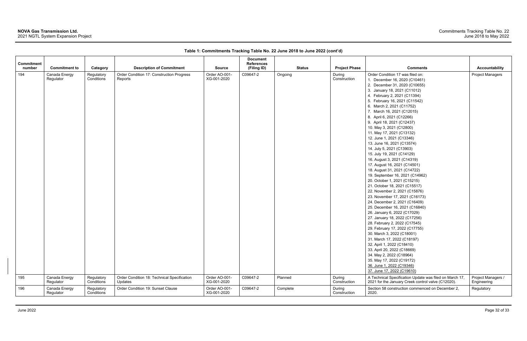## **NOVA Gas Transmission Ltd.**

2021 NGTL System Expansion Project

| Commitment |                            |                          |                                                        |                              | <b>Document</b><br><b>References</b> |               |                        |                                                                                                                                                                                                                                                                                                                                                                                                                                                                                                                                                                                                                                                                                                                                                                                                                                                                                                                                                                                                                                                                                                                                                                                                                                     |                                   |
|------------|----------------------------|--------------------------|--------------------------------------------------------|------------------------------|--------------------------------------|---------------|------------------------|-------------------------------------------------------------------------------------------------------------------------------------------------------------------------------------------------------------------------------------------------------------------------------------------------------------------------------------------------------------------------------------------------------------------------------------------------------------------------------------------------------------------------------------------------------------------------------------------------------------------------------------------------------------------------------------------------------------------------------------------------------------------------------------------------------------------------------------------------------------------------------------------------------------------------------------------------------------------------------------------------------------------------------------------------------------------------------------------------------------------------------------------------------------------------------------------------------------------------------------|-----------------------------------|
| number     | <b>Commitment to</b>       | Category                 | <b>Description of Commitment</b>                       | <b>Source</b>                | (Filing ID)                          | <b>Status</b> | <b>Project Phase</b>   | <b>Comments</b>                                                                                                                                                                                                                                                                                                                                                                                                                                                                                                                                                                                                                                                                                                                                                                                                                                                                                                                                                                                                                                                                                                                                                                                                                     | <b>Accountability</b>             |
| 194        | Canada Energy<br>Regulator | Regulatory<br>Conditions | Order Condition 17: Construction Progress<br>Reports   | Order AO-001-<br>XG-001-2020 | C09647-2                             | Ongoing       | During<br>Construction | Order Condition 17 was filed on:<br>1. December 16, 2020 (C10461)<br>2. December 31, 2020 (C10655)<br>3. January 18, 2021 (C11012)<br>4. February 2, 2021 (C11394)<br>5. February 16, 2021 (C11542)<br>6. March 2, 2021 (C11752)<br>7. March 16, 2021 (C12015)<br>8. April 6, 2021 (C12266)<br>9. April 18, 2021 (C12437)<br>10. May 3, 2021 (C12800)<br>11. May 17, 2021 (C13132)<br>12. June 1, 2021 (C13346)<br>13. June 16, 2021 (C13574)<br>14. July 5, 2021 (C13903)<br>15. July 19, 2021 (C14129)<br>16. August 3, 2021 (C14319)<br>17. August 16, 2021 (C14501)<br>18. August 31, 2021 (C14722)<br>19. September 16, 2021 (C14962)<br>20. October 1, 2021 (C15215)<br>21. October 18, 2021 (C15517)<br>22. November 2, 2021 (C15876)<br>23. November 17, 2021 (C16173)<br>24. December 2, 2021 (C16409)<br>25. December 16, 2021 (C16840)<br>26. January 6, 2022 (C17029)<br>27. January 18, 2022 (C17256)<br>28. February 2, 2022 (C17545)<br>29. February 17, 2022 (C17755)<br>30. March 3, 2022 (C18001)<br>31. March 17, 2022 (C18197)<br>32. April 1, 2022 (C18410)<br>33. April 20, 2022 (C18669)<br>34. May 2, 2022 (C18964)<br>35. May 17, 2022 (C19172)<br>36. June 1, 2022 (C19346)<br>37. June 17, 2022 (C19610) | <b>Project Managers</b>           |
| 195        | Canada Energy<br>Regulator | Regulatory<br>Conditions | Order Condition 18: Technical Specification<br>Updates | Order AO-001-<br>XG-001-2020 | C09647-2                             | Planned       | During<br>Construction | A Technical Specification Update was filed on March 17,<br>2021 for the January Creek control valve (C12020).                                                                                                                                                                                                                                                                                                                                                                                                                                                                                                                                                                                                                                                                                                                                                                                                                                                                                                                                                                                                                                                                                                                       | Project Managers /<br>Engineering |
| 196        | Canada Energy<br>Regulator | Regulatory<br>Conditions | Order Condition 19: Sunset Clause                      | Order AO-001-<br>XG-001-2020 | C09647-2                             | Complete      | During<br>Construction | Section 58 construction commenced on December 2,<br>2020.                                                                                                                                                                                                                                                                                                                                                                                                                                                                                                                                                                                                                                                                                                                                                                                                                                                                                                                                                                                                                                                                                                                                                                           | Regulatory                        |